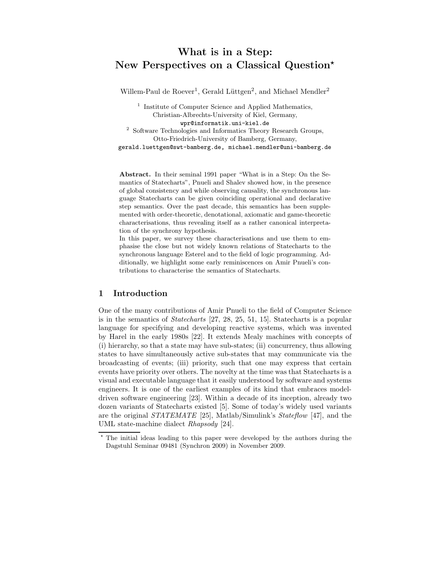# What is in a Step: New Perspectives on a Classical Question<sup>\*</sup>

Willem-Paul de Roever<sup>1</sup>, Gerald Lüttgen<sup>2</sup>, and Michael Mendler<sup>2</sup>

<sup>1</sup> Institute of Computer Science and Applied Mathematics, Christian-Albrechts-University of Kiel, Germany, wpr@informatik.uni-kiel.de

<sup>2</sup> Software Technologies and Informatics Theory Research Groups, Otto-Friedrich-University of Bamberg, Germany, gerald.luettgen@swt-bamberg.de, michael.mendler@uni-bamberg.de

Abstract. In their seminal 1991 paper "What is in a Step: On the Semantics of Statecharts", Pnueli and Shalev showed how, in the presence of global consistency and while observing causality, the synchronous language Statecharts can be given coinciding operational and declarative step semantics. Over the past decade, this semantics has been supplemented with order-theoretic, denotational, axiomatic and game-theoretic characterisations, thus revealing itself as a rather canonical interpretation of the synchrony hypothesis.

In this paper, we survey these characterisations and use them to emphasise the close but not widely known relations of Statecharts to the synchronous language Esterel and to the field of logic programming. Additionally, we highlight some early reminiscences on Amir Pnueli's contributions to characterise the semantics of Statecharts.

# 1 Introduction

One of the many contributions of Amir Pnueli to the field of Computer Science is in the semantics of Statecharts [27, 28, 25, 51, 15]. Statecharts is a popular language for specifying and developing reactive systems, which was invented by Harel in the early 1980s [22]. It extends Mealy machines with concepts of (i) hierarchy, so that a state may have sub-states; (ii) concurrency, thus allowing states to have simultaneously active sub-states that may communicate via the broadcasting of events; (iii) priority, such that one may express that certain events have priority over others. The novelty at the time was that Statecharts is a visual and executable language that it easily understood by software and systems engineers. It is one of the earliest examples of its kind that embraces modeldriven software engineering [23]. Within a decade of its inception, already two dozen variants of Statecharts existed [5]. Some of today's widely used variants are the original STATEMATE [25], Matlab/Simulink's Stateflow [47], and the UML state-machine dialect Rhapsody [24].

The initial ideas leading to this paper were developed by the authors during the Dagstuhl Seminar 09481 (Synchron 2009) in November 2009.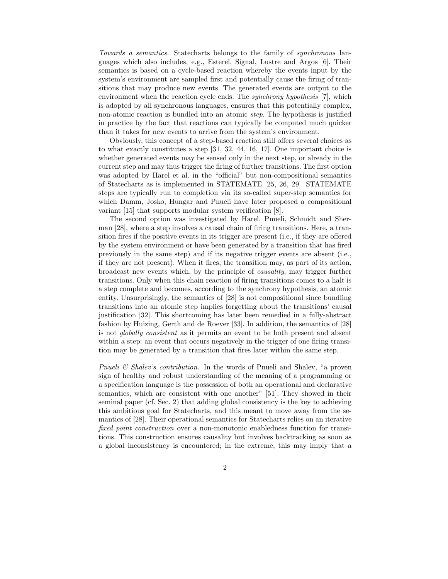Towards a semantics. Statecharts belongs to the family of synchronous languages which also includes, e.g., Esterel, Signal, Lustre and Argos [6]. Their semantics is based on a cycle-based reaction whereby the events input by the system's environment are sampled first and potentially cause the firing of transitions that may produce new events. The generated events are output to the environment when the reaction cycle ends. The *synchrony hypothesis* [7], which is adopted by all synchronous languages, ensures that this potentially complex, non-atomic reaction is bundled into an atomic step. The hypothesis is justified in practice by the fact that reactions can typically be computed much quicker than it takes for new events to arrive from the system's environment.

Obviously, this concept of a step-based reaction still offers several choices as to what exactly constitutes a step [31, 32, 44, 16, 17]. One important choice is whether generated events may be sensed only in the next step, or already in the current step and may thus trigger the firing of further transitions. The first option was adopted by Harel et al. in the "official" but non-compositional semantics of Statecharts as is implemented in STATEMATE [25, 26, 29]. STATEMATE steps are typically run to completion via its so-called super-step semantics for which Damm, Josko, Hungar and Pnueli have later proposed a compositional variant [15] that supports modular system verification [8].

The second option was investigated by Harel, Pnueli, Schmidt and Sherman [28], where a step involves a causal chain of firing transitions. Here, a transition fires if the positive events in its trigger are present (i.e., if they are offered by the system environment or have been generated by a transition that has fired previously in the same step) and if its negative trigger events are absent (i.e., if they are not present). When it fires, the transition may, as part of its action, broadcast new events which, by the principle of causality, may trigger further transitions. Only when this chain reaction of firing transitions comes to a halt is a step complete and becomes, according to the synchrony hypothesis, an atomic entity. Unsurprisingly, the semantics of [28] is not compositional since bundling transitions into an atomic step implies forgetting about the transitions' causal justification [32]. This shortcoming has later been remedied in a fully-abstract fashion by Huizing, Gerth and de Roever [33]. In addition, the semantics of [28] is not globally consistent as it permits an event to be both present and absent within a step: an event that occurs negatively in the trigger of one firing transition may be generated by a transition that fires later within the same step.

Pnueli & Shalev's contribution. In the words of Pnueli and Shalev, "a proven sign of healthy and robust understanding of the meaning of a programming or a specification language is the possession of both an operational and declarative semantics, which are consistent with one another" [51]. They showed in their seminal paper (cf. Sec. 2) that adding global consistency is the key to achieving this ambitious goal for Statecharts, and this meant to move away from the semantics of [28]. Their operational semantics for Statecharts relies on an iterative fixed point construction over a non-monotonic enabledness function for transitions. This construction ensures causality but involves backtracking as soon as a global inconsistency is encountered; in the extreme, this may imply that a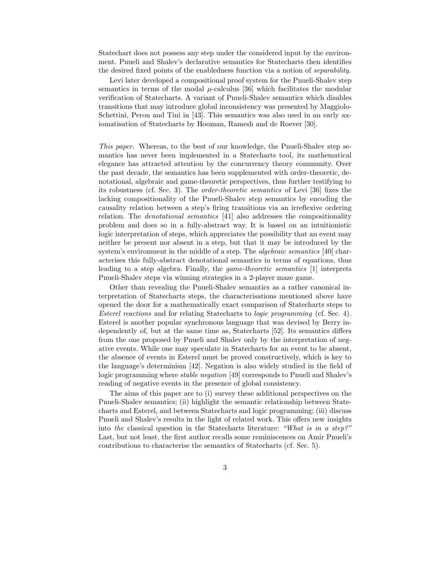Statechart does not possess any step under the considered input by the environment. Pnueli and Shalev's declarative semantics for Statecharts then identifies the desired fixed points of the enabledness function via a notion of separability.

Levi later developed a compositional proof system for the Pnueli-Shalev step semantics in terms of the modal  $\mu$ -calculus [36] which facilitates the modular verification of Statecharts. A variant of Pnueli-Shalev semantics which disables transitions that may introduce global inconsistency was presented by Maggiolo-Schettini, Peron and Tini in [43]. This semantics was also used in an early axiomatisation of Statecharts by Hooman, Ramesh and de Roever [30].

This paper. Whereas, to the best of our knowledge, the Pnueli-Shalev step semantics has never been implemented in a Statecharts tool, its mathematical elegance has attracted attention by the concurrency theory community. Over the past decade, the semantics has been supplemented with order-theoretic, denotational, algebraic and game-theoretic perspectives, thus further testifying to its robustness (cf. Sec. 3). The order-theoretic semantics of Levi [36] fixes the lacking compositionality of the Pnueli-Shalev step semantics by encoding the causality relation between a step's firing transitions via an irreflexive ordering relation. The denotational semantics [41] also addresses the compositionality problem and does so in a fully-abstract way. It is based on an intuitionistic logic interpretation of steps, which appreciates the possibility that an event may neither be present nor absent in a step, but that it may be introduced by the system's environment in the middle of a step. The *algebraic semantics* [40] characterises this fully-abstract denotational semantics in terms of equations, thus leading to a step algebra. Finally, the game-theoretic semantics [1] interprets Pnueli-Shalev steps via winning strategies in a 2-player maze game.

Other than revealing the Pnueli-Shalev semantics as a rather canonical interpretation of Statecharts steps, the characterisations mentioned above have opened the door for a mathematically exact comparison of Statecharts steps to Esterel reactions and for relating Statecharts to logic programming (cf. Sec. 4). Esterel is another popular synchronous language that was devised by Berry independently of, but at the same time as, Statecharts [52]. Its semantics differs from the one proposed by Pnueli and Shalev only by the interpretation of negative events. While one may speculate in Statecharts for an event to be absent, the absence of events in Esterel must be proved constructively, which is key to the language's determinism [42]. Negation is also widely studied in the field of logic programming where stable negation [49] corresponds to Pnueli and Shalev's reading of negative events in the presence of global consistency.

The aims of this paper are to (i) survey these additional perspectives on the Pnueli-Shalev semantics; (ii) highlight the semantic relationship between Statecharts and Esterel, and between Statecharts and logic programming; (iii) discuss Pnueli and Shalev's results in the light of related work. This offers new insights into the classical question in the Statecharts literature: "What is in a step?" Last, but not least, the first author recalls some reminiscences on Amir Pnueli's contributions to characterise the semantics of Statecharts (cf. Sec. 5).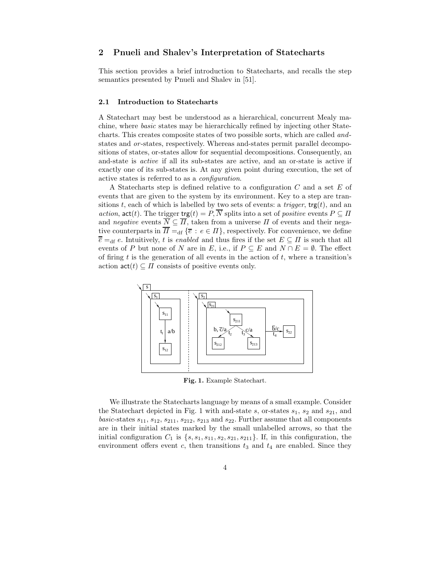# 2 Pnueli and Shalev's Interpretation of Statecharts

This section provides a brief introduction to Statecharts, and recalls the step semantics presented by Pnueli and Shalev in [51].

### 2.1 Introduction to Statecharts

A Statechart may best be understood as a hierarchical, concurrent Mealy machine, where basic states may be hierarchically refined by injecting other Statecharts. This creates composite states of two possible sorts, which are called andstates and or-states, respectively. Whereas and-states permit parallel decompositions of states, or-states allow for sequential decompositions. Consequently, an and-state is active if all its sub-states are active, and an or-state is active if exactly one of its sub-states is. At any given point during execution, the set of active states is referred to as a configuration.

A Statecharts step is defined relative to a configuration C and a set E of events that are given to the system by its environment. Key to a step are transitions t, each of which is labelled by two sets of events: a *trigger*,  $trg(t)$ , and an action,  $\text{act}(t)$ . The trigger  $\text{trg}(t) = P$ ,  $\overline{N}$  splits into a set of *positive* events  $P \subseteq \Pi$ and negative events  $\overline{N} \subseteq \overline{\Pi}$ , taken from a universe  $\Pi$  of events and their negative counterparts in  $\overline{\Pi} =_{df} {\overline{e} : e \in \Pi}$ , respectively. For convenience, we define  $\overline{\overline{e}} =_{df} e$ . Intuitively, t is enabled and thus fires if the set  $E \subseteq \Pi$  is such that all events of P but none of N are in E, i.e., if  $P \subseteq E$  and  $N \cap E = \emptyset$ . The effect of firing  $t$  is the generation of all events in the action of  $t$ , where a transition's action  $\textsf{act}(t) \subseteq \Pi$  consists of positive events only.



Fig. 1. Example Statechart.

We illustrate the Statecharts language by means of a small example. Consider the Statechart depicted in Fig. 1 with and-state s, or-states  $s_1$ ,  $s_2$  and  $s_{21}$ , and basic-states  $s_{11}, s_{12}, s_{211}, s_{212}, s_{213}$  and  $s_{22}$ . Further assume that all components are in their initial states marked by the small unlabelled arrows, so that the initial configuration  $C_1$  is  $\{s, s_1, s_1, s_2, s_{21}, s_{211}\}$ . If, in this configuration, the environment offers event  $c$ , then transitions  $t_3$  and  $t_4$  are enabled. Since they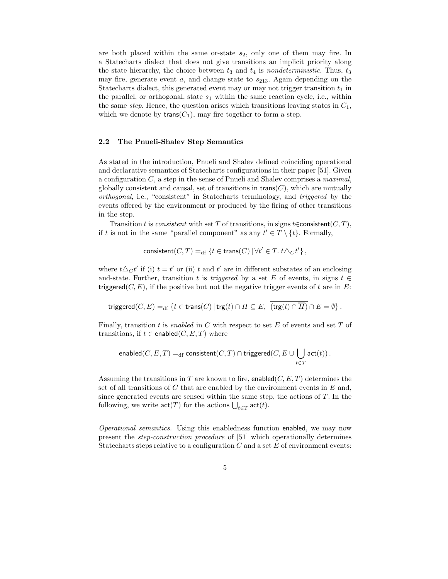are both placed within the same or-state  $s_2$ , only one of them may fire. In a Statecharts dialect that does not give transitions an implicit priority along the state hierarchy, the choice between  $t_3$  and  $t_4$  is nondeterministic. Thus,  $t_3$ may fire, generate event  $a$ , and change state to  $s_{213}$ . Again depending on the Statecharts dialect, this generated event may or may not trigger transition  $t_1$  in the parallel, or orthogonal, state  $s_1$  within the same reaction cycle, i.e., within the same *step*. Hence, the question arises which transitions leaving states in  $C_1$ , which we denote by  $trans(C_1)$ , may fire together to form a step.

#### 2.2 The Pnueli-Shalev Step Semantics

As stated in the introduction, Pnueli and Shalev defined coinciding operational and declarative semantics of Statecharts configurations in their paper [51]. Given a configuration  $C$ , a step in the sense of Pnueli and Shalev comprises a *maximal*, globally consistent and causal, set of transitions in  $trans(C)$ , which are mutually orthogonal, i.e., "consistent" in Statecharts terminology, and triggered by the events offered by the environment or produced by the firing of other transitions in the step.

Transition t is consistent with set T of transitions, in signs t∈consistent $(C, T)$ , if t is not in the same "parallel component" as any  $t' \in T \setminus \{t\}$ . Formally,

$$
\mathsf{consistent}(C,T) =_{\mathrm{df}} \{ t \in \mathsf{trans}(C) \, | \, \forall t' \in T. \, t \triangle_C t' \},
$$

where  $t\triangle_C t'$  if (i)  $t = t'$  or (ii) t and t' are in different substates of an enclosing and-state. Further, transition t is triggered by a set E of events, in signs  $t \in$ triggered( $C, E$ ), if the positive but not the negative trigger events of t are in E:

$$
\operatorname{triggered}(C,E) =_{\mathrm{df}} \left\{ t \in \operatorname{trans}(C) \, | \, \operatorname{trg}(t) \cap \Pi \subseteq E, \, \, (\operatorname{trg}(t) \cap \overline{\Pi}) \cap E = \emptyset \right\}.
$$

Finally, transition  $t$  is enabled in  $C$  with respect to set  $E$  of events and set  $T$  of transitions, if  $t \in$  enabled( $C, E, T$ ) where

$$
\mathsf{enabled}(C,E,T) =_{\mathsf{df}} \mathsf{consistent}(C,T) \cap \mathsf{triggered}(C,E \cup \bigcup_{t \in T} \mathsf{act}(t))\,.
$$

Assuming the transitions in T are known to fire, enabled( $C, E, T$ ) determines the set of all transitions of C that are enabled by the environment events in  $E$  and, since generated events are sensed within the same step, the actions of  $T$ . In the following, we write  $\mathsf{act}(T)$  for the actions  $\bigcup_{t\in T} \mathsf{act}(t).$ 

Operational semantics. Using this enabledness function enabled, we may now present the step-construction procedure of [51] which operationally determines Statecharts steps relative to a configuration  $C$  and a set  $E$  of environment events: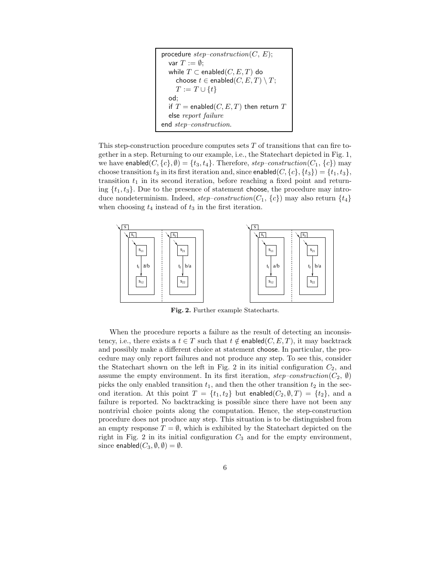\n
$$
\text{procedure } step-construction(C, E);
$$
\n $\text{var } T := \emptyset;$ \n $\text{while } T \subset \text{enabeled}(C, E, T) \text{ do}$ \n $\text{choose } t \in \text{enabeled}(C, E, T) \setminus T;$ \n $T := T \cup \{t\}$ \n

\n\n $\text{od};$ \n $\text{if } T = \text{enabeled}(C, E, T) \text{ then return } T$ \n $\text{else } report \text{ failure}$ \n

\n\n $\text{end } step-construction.$ \n

This step-construction procedure computes sets T of transitions that can fire together in a step. Returning to our example, i.e., the Statechart depicted in Fig. 1, we have enabled $(C, \{c\}, \emptyset) = \{t_3, t_4\}$ . Therefore, step–construction $(C_1, \{c\})$  may choose transition  $t_3$  in its first iteration and, since enabled( $C$ ,  $\{c\}$ ,  $\{t_3\}$ ) =  $\{t_1, t_3\}$ , transition  $t_1$  in its second iteration, before reaching a fixed point and returning  $\{t_1, t_3\}$ . Due to the presence of statement choose, the procedure may introduce nondeterminism. Indeed,  $step-construction(C_1, \{c\})$  may also return  $\{t_4\}$ when choosing  $t_4$  instead of  $t_3$  in the first iteration.



Fig. 2. Further example Statecharts.

When the procedure reports a failure as the result of detecting an inconsistency, i.e., there exists a  $t \in T$  such that  $t \notin$  enabled $(C, E, T)$ , it may backtrack and possibly make a different choice at statement choose. In particular, the procedure may only report failures and not produce any step. To see this, consider the Statechart shown on the left in Fig. 2 in its initial configuration  $C_2$ , and assume the empty environment. In its first iteration,  $step-construction(C_2, \emptyset)$ picks the only enabled transition  $t_1$ , and then the other transition  $t_2$  in the second iteration. At this point  $T = \{t_1, t_2\}$  but enabled $(C_2, \emptyset, T) = \{t_2\}$ , and a failure is reported. No backtracking is possible since there have not been any nontrivial choice points along the computation. Hence, the step-construction procedure does not produce any step. This situation is to be distinguished from an empty response  $T = \emptyset$ , which is exhibited by the Statechart depicted on the right in Fig. 2 in its initial configuration  $C_3$  and for the empty environment, since enabled $(C_3, \emptyset, \emptyset) = \emptyset$ .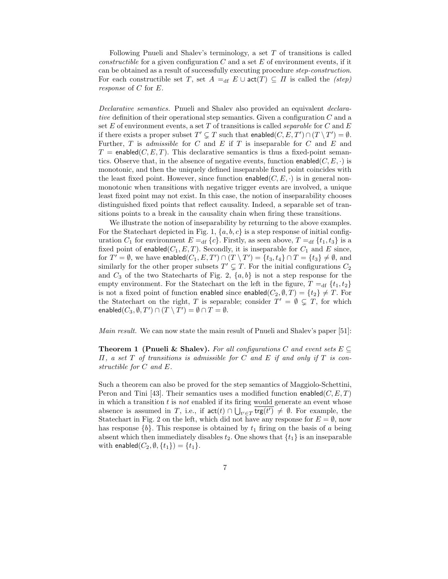Following Pnueli and Shalev's terminology, a set  $T$  of transitions is called *constructible* for a given configuration  $C$  and a set  $E$  of environment events, if it can be obtained as a result of successfully executing procedure step-construction. For each constructible set T, set  $A =_{df} E \cup \text{act}(T) \subseteq \Pi$  is called the  $(\text{step})$ response of C for E.

Declarative semantics. Pnueli and Shalev also provided an equivalent declarative definition of their operational step semantics. Given a configuration C and a set E of environment events, a set T of transitions is called *separable* for C and E if there exists a proper subset  $T' \subsetneq T$  such that enabled $(C, E, T') \cap (T \setminus T') = \emptyset$ . Further,  $T$  is *admissible* for  $C$  and  $E$  if  $T$  is inseparable for  $C$  and  $E$  and  $T =$  enabled(C, E, T). This declarative semantics is thus a fixed-point semantics. Observe that, in the absence of negative events, function enabled $(C, E, \cdot)$  is monotonic, and then the uniquely defined inseparable fixed point coincides with the least fixed point. However, since function enabled( $C, E, \cdot$ ) is in general nonmonotonic when transitions with negative trigger events are involved, a unique least fixed point may not exist. In this case, the notion of inseparability chooses distinguished fixed points that reflect causality. Indeed, a separable set of transitions points to a break in the causality chain when firing these transitions.

We illustrate the notion of inseparability by returning to the above examples. For the Statechart depicted in Fig. 1,  $\{a, b, c\}$  is a step response of initial configuration  $C_1$  for environment  $E =_{df} {c}$ . Firstly, as seen above,  $T =_{df} {t_1, t_3}$  is a fixed point of enabled( $C_1, E, T$ ). Secondly, it is inseparable for  $C_1$  and E since, for  $T' = \emptyset$ , we have enabled $(C_1, E, T') \cap (T \setminus T') = \{t_3, t_4\} \cap T = \{t_3\} \neq \emptyset$ , and similarly for the other proper subsets  $T' \subsetneq T$ . For the initial configurations  $C_2$ and  $C_3$  of the two Statecharts of Fig. 2,  $\{a, b\}$  is not a step response for the empty environment. For the Statechart on the left in the figure,  $T =_{df} \{t_1, t_2\}$ is not a fixed point of function enabled since enabled( $C_2$ ,  $\emptyset$ ,  $T$ ) = { $t_2$ }  $\neq$   $T$ . For the Statechart on the right, T is separable; consider  $T' = \emptyset \subsetneq T$ , for which enabled $(C_3, \emptyset, T') \cap (T \setminus T') = \emptyset \cap T = \emptyset.$ 

Main result. We can now state the main result of Pnueli and Shalev's paper [51]:

**Theorem 1 (Pnueli & Shalev).** For all configurations C and event sets  $E \subseteq$  $\Pi$ , a set  $T$  of transitions is admissible for  $C$  and  $E$  if and only if  $T$  is constructible for C and E.

Such a theorem can also be proved for the step semantics of Maggiolo-Schettini, Peron and Tini [43]. Their semantics uses a modified function enabled  $(C, E, T)$ in which a transition  $t$  is not enabled if its firing would generate an event whose absence is assumed in T, i.e., if  $\text{act}(t) \cap \bigcup_{t' \in T} \overline{\text{trg}(t')} \neq \emptyset$ . For example, the Statechart in Fig. 2 on the left, which did not have any response for  $E = \emptyset$ , now has response  $\{b\}$ . This response is obtained by  $t_1$  firing on the basis of a being absent which then immediately disables  $t_2$ . One shows that  $\{t_1\}$  is an inseparable with enabled( $C_2$ ,  $\emptyset$ ,  $\{t_1\}$ ) =  $\{t_1\}$ .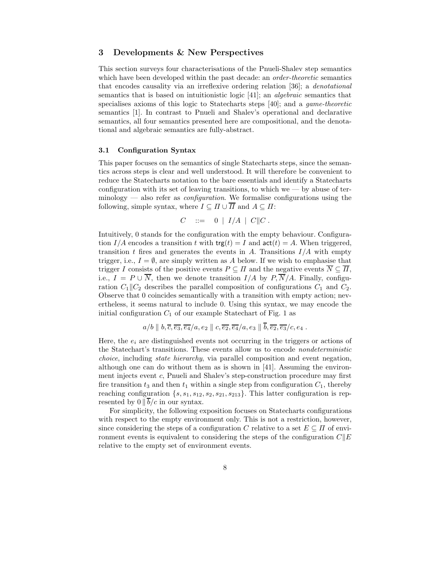# 3 Developments & New Perspectives

This section surveys four characterisations of the Pnueli-Shalev step semantics which have been developed within the past decade: an *order-theoretic* semantics that encodes causality via an irreflexive ordering relation [36]; a denotational semantics that is based on intuitionistic logic [41]; an algebraic semantics that specialises axioms of this logic to Statecharts steps [40]; and a game-theoretic semantics [1]. In contrast to Pnueli and Shalev's operational and declarative semantics, all four semantics presented here are compositional, and the denotational and algebraic semantics are fully-abstract.

# 3.1 Configuration Syntax

This paper focuses on the semantics of single Statecharts steps, since the semantics across steps is clear and well understood. It will therefore be convenient to reduce the Statecharts notation to the bare essentials and identify a Statecharts configuration with its set of leaving transitions, to which we — by abuse of terminology — also refer as *configuration*. We formalise configurations using the following, simple syntax, where  $I \subseteq \Pi \cup \overline{\Pi}$  and  $A \subseteq \Pi$ :

$$
C \quad ::= \quad 0 \mid I/A \mid C \| C.
$$

Intuitively, 0 stands for the configuration with the empty behaviour. Configuration  $I/A$  encodes a transition t with trg(t) = I and  $\text{act}(t) = A$ . When triggered, transition t fires and generates the events in A. Transitions  $I/A$  with empty trigger, i.e.,  $I = \emptyset$ , are simply written as A below. If we wish to emphasise that trigger I consists of the positive events  $P \subseteq \Pi$  and the negative events  $\overline{N} \subseteq \overline{\Pi}$ , i.e.,  $I = P \cup \overline{N}$ , then we denote transition  $I/A$  by  $P, \overline{N}/A$ . Finally, configuration  $C_1||C_2$  describes the parallel composition of configurations  $C_1$  and  $C_2$ . Observe that 0 coincides semantically with a transition with empty action; nevertheless, it seems natural to include 0. Using this syntax, we may encode the initial configuration  $C_1$  of our example Statechart of Fig. 1 as

$$
a/b \parallel b, \overline{c}, \overline{e_3}, \overline{e_4}/a, e_2 \parallel c, \overline{e_2}, \overline{e_4}/a, e_3 \parallel b, \overline{e_2}, \overline{e_3}/c, e_4
$$
.

Here, the  $e_i$  are distinguished events not occurring in the triggers or actions of the Statechart's transitions. These events allow us to encode nondeterministic choice, including state hierarchy, via parallel composition and event negation, although one can do without them as is shown in [41]. Assuming the environment injects event c, Pnueli and Shalev's step-construction procedure may first fire transition  $t_3$  and then  $t_1$  within a single step from configuration  $C_1$ , thereby reaching configuration {s, s1, s12, s2, s21, s213}. This latter configuration is represented by  $0 \parallel \overline{b}/c$  in our syntax.

For simplicity, the following exposition focuses on Statecharts configurations with respect to the empty environment only. This is not a restriction, however, since considering the steps of a configuration C relative to a set  $E \subseteq \Pi$  of environment events is equivalent to considering the steps of the configuration  $C||E$ relative to the empty set of environment events.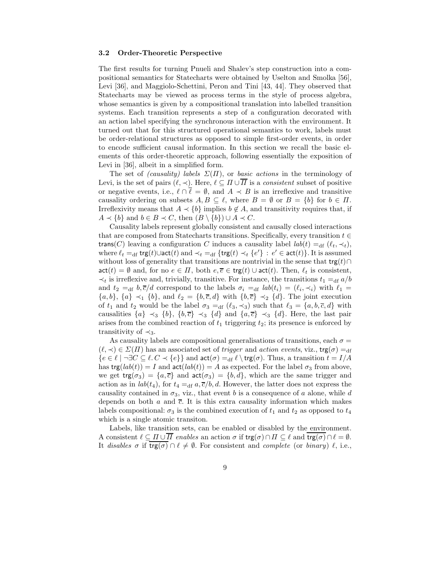#### 3.2 Order-Theoretic Perspective

The first results for turning Pnueli and Shalev's step construction into a compositional semantics for Statecharts were obtained by Uselton and Smolka [56], Levi [36], and Maggiolo-Schettini, Peron and Tini [43, 44]. They observed that Statecharts may be viewed as process terms in the style of process algebra, whose semantics is given by a compositional translation into labelled transition systems. Each transition represents a step of a configuration decorated with an action label specifying the synchronous interaction with the environment. It turned out that for this structured operational semantics to work, labels must be order-relational structures as opposed to simple first-order events, in order to encode sufficient causal information. In this section we recall the basic elements of this order-theoretic approach, following essentially the exposition of Levi in [36], albeit in a simplified form.

The set of *(causality)* labels  $\Sigma(\Pi)$ , or basic actions in the terminology of Levi, is the set of pairs  $(\ell, \prec)$ . Here,  $\ell \subseteq \Pi \cup \Pi$  is a *consistent* subset of positive or negative events, i.e.,  $\ell \cap \overline{\ell} = \emptyset$ , and  $A \prec B$  is an irreflexive and transitive causality ordering on subsets  $A, B \subseteq \ell$ , where  $B = \emptyset$  or  $B = \{b\}$  for  $b \in \Pi$ . Irreflexivity means that  $A \prec \{b\}$  implies  $b \notin A$ , and transitivity requires that, if  $A \prec \{b\}$  and  $b \in B \prec C$ , then  $(B \setminus \{b\}) \cup A \prec C$ .

Causality labels represent globally consistent and causally closed interactions that are composed from Statecharts transitions. Specifically, every transition  $t \in$ trans(C) leaving a configuration C induces a causality label  $lab(t) =_{df} (\ell_t, \prec_t)$ , where  $\ell_t =_{df} \text{trg}(t) \cup \text{act}(t)$  and  $\prec_t =_{df} \{\text{trg}(t) \prec_t \{e'\} : e' \in \text{act}(t)\}.$  It is assumed without loss of generality that transitions are nontrivial in the sense that  $\text{trg}(t) \cap$  $\text{act}(t) = \emptyset$  and, for no  $e \in \Pi$ , both  $e, \overline{e} \in \text{trg}(t) \cup \text{act}(t)$ . Then,  $\ell_t$  is consistent,  $\prec_t$  is irreflexive and, trivially, transitive. For instance, the transitions  $t_1 =_{df} a/b$ and  $t_2 =_{df} b, \overline{c}/d$  correspond to the labels  $\sigma_i =_{df} lab(t_i) = (\ell_i, \prec_i)$  with  $\ell_1 =$  ${a, b}, {a} \prec_1 {b}, \text{ and } \ell_2 = {b, \overline{c}, d} \text{ with } {b, \overline{c}} \prec_2 {d}.$  The joint execution of  $t_1$  and  $t_2$  would be the label  $\sigma_3 =_{df} (\ell_3, \prec_3)$  such that  $\ell_3 = \{a, b, \overline{c}, d\}$  with causalities  $\{a\} \prec_3 \{b\}$ ,  $\{b, \overline{c}\} \prec_3 \{d\}$  and  $\{a, \overline{c}\} \prec_3 \{d\}$ . Here, the last pair arises from the combined reaction of  $t_1$  triggering  $t_2$ ; its presence is enforced by transitivity of  $\prec_3$ .

As causality labels are compositional generalisations of transitions, each  $\sigma =$  $(\ell, \prec) \in \Sigma(\Pi)$  has an associated set of *trigger* and *action events*, viz.,  $\text{trg}(\sigma) =_{df} d\sigma$  ${e \in \ell \mid \neg \exists C \subseteq \ell \ldotp C \prec \{e\}\}$  and  $\textsf{act}(\sigma) =_{\text{df}} \ell \setminus \text{trg}(\sigma)$ . Thus, a transition  $t = I/A$ has  $\text{trg}(lab(t)) = I$  and  $\text{act}(lab(t)) = A$  as expected. For the label  $\sigma_3$  from above, we get  $\text{trg}(\sigma_3) = \{a, \overline{c}\}\$ and  $\text{act}(\sigma_3) = \{b, d\}\$ , which are the same trigger and action as in  $lab(t_4)$ , for  $t_4 =_{df} a, \overline{c}/b, d$ . However, the latter does not express the causality contained in  $\sigma_3$ , viz., that event b is a consequence of a alone, while d depends on both  $a$  and  $\overline{c}$ . It is this extra causality information which makes labels compositional:  $\sigma_3$  is the combined execution of  $t_1$  and  $t_2$  as opposed to  $t_4$ which is a single atomic transiton.

Labels, like transition sets, can be enabled or disabled by the environment. A consistent  $\ell \subseteq \Pi \cup \overline{\Pi}$  enables an action  $\sigma$  if  $\text{trg}(\sigma) \cap \Pi \subseteq \ell$  and  $\overline{\text{trg}(\sigma)} \cap \ell = \emptyset$ . It disables  $\sigma$  if  $\overline{\text{trg}(\sigma)} \cap \ell \neq \emptyset$ . For consistent and *complete* (or *binary*)  $\ell$ , i.e.,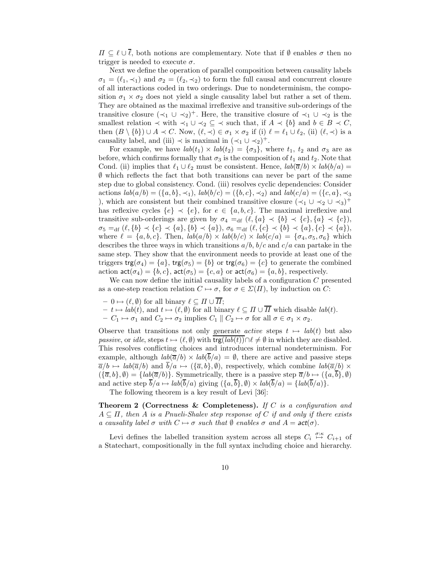$\Pi \subseteq \ell \cup \overline{\ell}$ , both notions are complementary. Note that if  $\emptyset$  enables  $\sigma$  then no trigger is needed to execute  $\sigma$ .

Next we define the operation of parallel composition between causality labels  $\sigma_1 = (\ell_1, \prec_1)$  and  $\sigma_2 = (\ell_2, \prec_2)$  to form the full causal and concurrent closure of all interactions coded in two orderings. Due to nondeterminism, the composition  $\sigma_1 \times \sigma_2$  does not yield a single causality label but rather a set of them. They are obtained as the maximal irreflexive and transitive sub-orderings of the transitive closure  $(\prec_1 \cup \prec_2)^+$ . Here, the transitive closure of  $\prec_1 \cup \prec_2$  is the smallest relation  $\prec$  with  $\prec_1 \cup \prec_2 \subseteq \prec$  such that, if  $A \prec \{b\}$  and  $b \in B \prec C$ , then  $(B \setminus \{b\}) \cup A \prec C$ . Now,  $(\ell, \prec) \in \sigma_1 \times \sigma_2$  if (i)  $\ell = \ell_1 \cup \ell_2$ , (ii)  $(\ell, \prec)$  is a causality label, and (iii)  $\prec$  is maximal in  $(\prec_1 \cup \prec_2)^+$ .

For example, we have  $lab(t_1) \times lab(t_2) = {\sigma_3}$ , where  $t_1, t_2$  and  $\sigma_3$  are as before, which confirms formally that  $\sigma_3$  is the composition of  $t_1$  and  $t_2$ . Note that Cond. (ii) implies that  $\ell_1 \cup \ell_2$  must be consistent. Hence,  $lab(\overline{\alpha}/b) \times lab(b/a) =$ ∅ which reflects the fact that both transitions can never be part of the same step due to global consistency. Cond. (iii) resolves cyclic dependencies: Consider actions  $lab(a/b) = (\{a, b\}, \prec_1), lab(b/c) = (\{b, c\}, \prec_2)$  and  $lab(c/a) = (\{c, a\}, \prec_3)$ ), which are consistent but their combined transitive closure  $(\prec_1 \cup \prec_2 \cup \prec_3)^+$ has reflexive cycles  $\{e\} \prec \{e\}$ , for  $e \in \{a, b, c\}$ . The maximal irreflexive and transitive sub-orderings are given by  $\sigma_4 =_{df} (\ell, \{a\} \prec \{b\} \prec \{c\}, \{a\} \prec \{c\}),$  $\sigma_5 =_{df} (\ell, \{b\} \prec \{c\} \prec \{a\}, \{b\} \prec \{a\}), \sigma_6 =_{df} (\ell, \{c\} \prec \{b\} \prec \{a\}, \{c\} \prec \{a\}),$ where  $\ell = \{a, b, c\}$ . Then,  $\text{lab}(a/b) \times \text{lab}(b/c) \times \text{lab}(c/a) = \{\sigma_4, \sigma_5, \sigma_6\}$  which describes the three ways in which transitions  $a/b$ ,  $b/c$  and  $c/a$  can partake in the same step. They show that the environment needs to provide at least one of the triggers trg( $\sigma_4$ ) = {a}, trg( $\sigma_5$ ) = {b} or trg( $\sigma_6$ ) = {c} to generate the combined action  $\textsf{act}(\sigma_4) = \{b, c\}$ ,  $\textsf{act}(\sigma_5) = \{c, a\}$  or  $\textsf{act}(\sigma_6) = \{a, b\}$ , respectively.

We can now define the initial causality labels of a configuration  $C$  presented as a one-step reaction relation  $C \mapsto \sigma$ , for  $\sigma \in \Sigma(\Pi)$ , by induction on C:

- $0 \mapsto (\ell, \emptyset)$  for all binary  $\ell \subseteq \Pi \cup \overline{\Pi}$ ;
- $-t \mapsto lab(t)$ , and  $t \mapsto (\ell, \emptyset)$  for all binary  $\ell \subseteq \Pi \cup \overline{\Pi}$  which disable  $lab(t)$ .
- $-C_1 \mapsto \sigma_1$  and  $C_2 \mapsto \sigma_2$  implies  $C_1 \parallel C_2 \mapsto \sigma$  for all  $\sigma \in \sigma_1 \times \sigma_2$ .

Observe that transitions not only generate *active* steps  $t \mapsto lab(t)$  but also passive, or idle, steps  $t \mapsto (\ell, \emptyset)$  with  $\text{trg}(lab(t)) \cap \ell \neq \emptyset$  in which they are disabled. This resolves conflicting choices and introduces internal nondeterminism. For example, although  $lab(\overline{\overline{a}}/b) \times lab(\overline{\overline{b}}/a) = \emptyset$ , there are active and passive steps  $\overline{a}/b \mapsto lab(\overline{a}/b)$  and  $\overline{b}/a \mapsto (\{\overline{a}, b\}, \emptyset)$ , respectively, which combine  $lab(\overline{a}/b) \times$  $(\{\overline{a}, b\}, \emptyset) = \{ lab(\overline{a}/b) \}.$  Symmetrically, there is a passive step  $\overline{a}/b \mapsto (\{a, \overline{b}\}, \emptyset)$ and active step  $b/a \mapsto lab(b/a)$  giving  $({a, b}, \emptyset) \times lab(b/a) = {lab(b/a)}$ .

The following theorem is a key result of Levi [36]:

**Theorem 2 (Correctness & Completeness).** If  $C$  is a configuration and  $A \subseteq \Pi$ , then A is a Pnueli-Shalev step response of C if and only if there exists a causality label  $\sigma$  with  $C \mapsto \sigma$  such that  $\emptyset$  enables  $\sigma$  and  $A = \mathsf{act}(\sigma)$ .

Levi defines the labelled transition system across all steps  $C_i \stackrel{\sigma:\kappa}{\mapsto} C_{i+1}$  of a Statechart, compositionally in the full syntax including choice and hierarchy.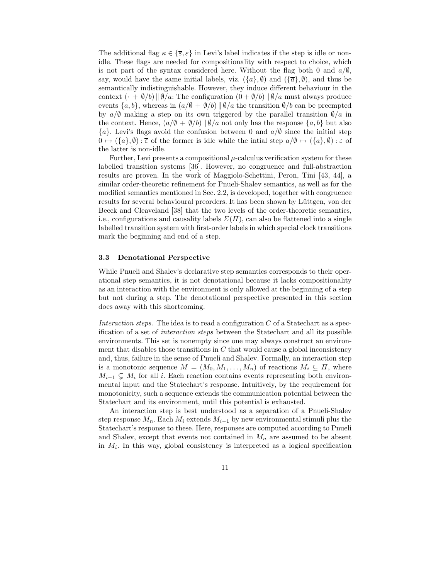The additional flag  $\kappa \in {\bar{\epsilon}, \epsilon}$  in Levi's label indicates if the step is idle or nonidle. These flags are needed for compositionality with respect to choice, which is not part of the syntax considered here. Without the flag both 0 and  $a/\emptyset$ , say, would have the same initial labels, viz.  $({a}, \emptyset)$  and  $({\overline{a}}, \emptyset)$ , and thus be semantically indistinguishable. However, they induce different behaviour in the context  $\left(\cdot + \frac{\emptyset}{b}\right) \|\emptyset/a$ : The configuration  $(0 + \frac{\emptyset}{b}) \|\emptyset/a$  must always produce events  $\{a, b\}$ , whereas in  $(a/\emptyset + \emptyset/b)$   $\emptyset/a$  the transition  $\emptyset/b$  can be preempted by  $a/\emptyset$  making a step on its own triggered by the parallel transition  $\emptyset/a$  in the context. Hence,  $(a/\emptyset + \emptyset/b)$   $\emptyset/a$  not only has the response  $\{a, b\}$  but also  ${a}$ . Levi's flags avoid the confusion between 0 and  $a/\emptyset$  since the initial step  $0 \mapsto (\{a\}, \emptyset) : \overline{\varepsilon}$  of the former is idle while the intial step  $a/\emptyset \mapsto (\{a\}, \emptyset) : \varepsilon$  of the latter is non-idle.

Further, Levi presents a compositional  $\mu$ -calculus verification system for these labelled transition systems [36]. However, no congruence and full-abstraction results are proven. In the work of Maggiolo-Schettini, Peron, Tini [43, 44], a similar order-theoretic refinement for Pnueli-Shalev semantics, as well as for the modified semantics mentioned in Sec. 2.2, is developed, together with congruence results for several behavioural preorders. It has been shown by Lüttgen, von der Beeck and Cleaveland [38] that the two levels of the order-theoretic semantics, i.e., configurations and causality labels  $\Sigma(\Pi)$ , can also be flattened into a single labelled transition system with first-order labels in which special clock transitions mark the beginning and end of a step.

# 3.3 Denotational Perspective

While Pnueli and Shalev's declarative step semantics corresponds to their operational step semantics, it is not denotational because it lacks compositionality as an interaction with the environment is only allowed at the beginning of a step but not during a step. The denotational perspective presented in this section does away with this shortcoming.

Interaction steps. The idea is to read a configuration  $C$  of a Statechart as a specification of a set of interaction steps between the Statechart and all its possible environments. This set is nonempty since one may always construct an environment that disables those transitions in  $C$  that would cause a global inconsistency and, thus, failure in the sense of Pnueli and Shalev. Formally, an interaction step is a monotonic sequence  $M = (M_0, M_1, \ldots, M_n)$  of reactions  $M_i \subseteq \Pi$ , where  $M_{i-1} \subsetneq M_i$  for all i. Each reaction contains events representing both environmental input and the Statechart's response. Intuitively, by the requirement for monotonicity, such a sequence extends the communication potential between the Statechart and its environment, until this potential is exhausted.

An interaction step is best understood as a separation of a Pnueli-Shalev step response  $M_n$ . Each  $M_i$  extends  $M_{i-1}$  by new environmental stimuli plus the Statechart's response to these. Here, responses are computed according to Pnueli and Shalev, except that events not contained in  $M_n$  are assumed to be absent in  $M_i$ . In this way, global consistency is interpreted as a logical specification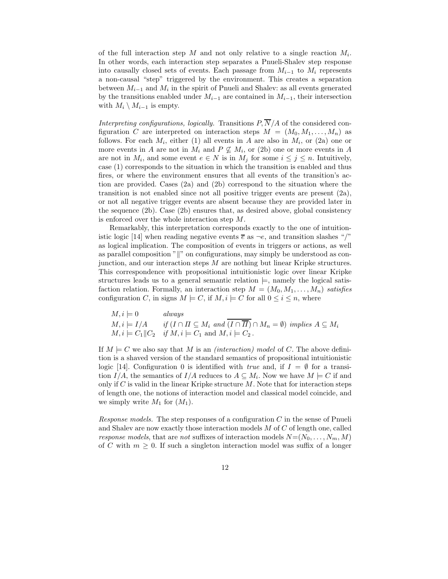of the full interaction step M and not only relative to a single reaction  $M_i$ . In other words, each interaction step separates a Pnueli-Shalev step response into causally closed sets of events. Each passage from  $M_{i-1}$  to  $M_i$  represents a non-causal "step" triggered by the environment. This creates a separation between  $M_{i-1}$  and  $M_i$  in the spirit of Pnueli and Shalev: as all events generated by the transitions enabled under  $M_{i-1}$  are contained in  $M_{i-1}$ , their intersection with  $M_i \setminus M_{i-1}$  is empty.

Interpreting configurations, logically. Transitions  $P, \overline{N}/A$  of the considered configuration C are interpreted on interaction steps  $M = (M_0, M_1, \ldots, M_n)$  as follows. For each  $M_i$ , either (1) all events in A are also in  $M_i$ , or (2a) one or more events in A are not in  $M_i$  and  $P \nsubseteq M_i$ , or (2b) one or more events in A are not in  $M_i$ , and some event  $e \in N$  is in  $M_j$  for some  $i \leq j \leq n$ . Intuitively, case (1) corresponds to the situation in which the transition is enabled and thus fires, or where the environment ensures that all events of the transition's action are provided. Cases (2a) and (2b) correspond to the situation where the transition is not enabled since not all positive trigger events are present (2a), or not all negative trigger events are absent because they are provided later in the sequence (2b). Case (2b) ensures that, as desired above, global consistency is enforced over the whole interaction step M.

Remarkably, this interpretation corresponds exactly to the one of intuitionistic logic [14] when reading negative events  $\bar{e}$  as  $\neg e$ , and transition slashes "/" as logical implication. The composition of events in triggers or actions, as well as parallel composition " $\parallel$ " on configurations, may simply be understood as conjunction, and our interaction steps  $M$  are nothing but linear Kripke structures. This correspondence with propositional intuitionistic logic over linear Kripke structures leads us to a general semantic relation  $\models$ , namely the logical satisfaction relation. Formally, an interaction step  $M = (M_0, M_1, \ldots, M_n)$  satisfies configuration C, in signs  $M \models C$ , if  $M, i \models C$  for all  $0 \leq i \leq n$ , where

$$
M, i \models 0 \qquad always
$$
  
\n
$$
M, i \models I/A \qquad \text{if } (I \cap \Pi \subseteq M_i \text{ and } \overline{(I \cap \overline{\Pi})} \cap M_n = \emptyset) \text{ implies } A \subseteq M_i
$$
  
\n
$$
M, i \models C_1 || C_2 \quad \text{if } M, i \models C_1 \text{ and } M, i \models C_2.
$$

If  $M \models C$  we also say that M is an *(interaction)* model of C. The above definition is a shaved version of the standard semantics of propositional intuitionistic logic [14]. Configuration 0 is identified with *true* and, if  $I = \emptyset$  for a transition  $I/A$ , the semantics of  $I/A$  reduces to  $A \subseteq M_i$ . Now we have  $M \models C$  if and only if  $C$  is valid in the linear Kripke structure  $M$ . Note that for interaction steps of length one, the notions of interaction model and classical model coincide, and we simply write  $M_1$  for  $(M_1)$ .

Response models. The step responses of a configuration  $C$  in the sense of Pnueli and Shalev are now exactly those interaction models M of C of length one, called response models, that are not suffixes of interaction models  $N=(N_0, \ldots, N_m, M)$ of C with  $m \geq 0$ . If such a singleton interaction model was suffix of a longer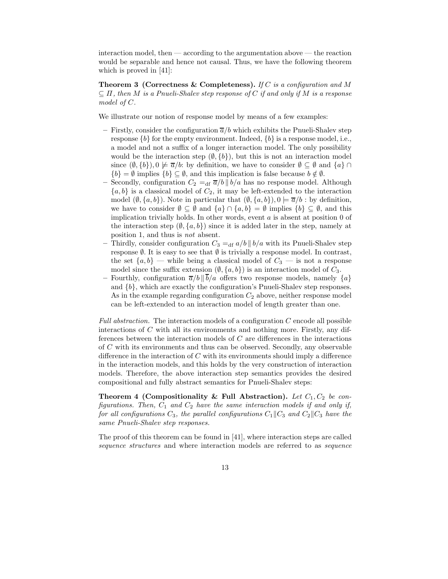interaction model, then — according to the argumentation above — the reaction would be separable and hence not causal. Thus, we have the following theorem which is proved in [41]:

**Theorem 3 (Correctness & Completeness).** If C is a configuration and M  $\subseteq$   $\Pi$ , then M is a Pnueli-Shalev step response of C if and only if M is a response model of C.

We illustrate our notion of response model by means of a few examples:

- Firstly, consider the configuration  $\overline{a}/b$  which exhibits the Pnueli-Shalev step response  $\{b\}$  for the empty environment. Indeed,  $\{b\}$  is a response model, i.e., a model and not a suffix of a longer interaction model. The only possibility would be the interaction step  $(\emptyset, \{b\})$ , but this is not an interaction model since  $(\emptyset, \{b\}), 0 \not\models \overline{a}/b$ : by definition, we have to consider  $\emptyset \subseteq \emptyset$  and  $\{a\} \cap$  $\{b\} = \emptyset$  implies  $\{b\} \subseteq \emptyset$ , and this implication is false because  $b \notin \emptyset$ .
- Secondly, configuration  $C_2 =_{df} \overline{a}/b \parallel b/a$  has no response model. Although  ${a, b}$  is a classical model of  $C_2$ , it may be left-extended to the interaction model  $(\emptyset, \{a, b\})$ . Note in particular that  $(\emptyset, \{a, b\})$ ,  $0 \models \overline{a}/b$ : by definition, we have to consider  $\emptyset \subseteq \emptyset$  and  $\{a\} \cap \{a,b\} = \emptyset$  implies  $\{b\} \subseteq \emptyset$ , and this implication trivially holds. In other words, event  $a$  is absent at position 0 of the interaction step  $(\emptyset, \{a, b\})$  since it is added later in the step, namely at position 1, and thus is not absent.
- Thirdly, consider configuration  $C_3 =_{df} a/b \parallel b/a$  with its Pnueli-Shalev step response  $\emptyset$ . It is easy to see that  $\emptyset$  is trivially a response model. In contrast, the set  $\{a, b\}$  — while being a classical model of  $C_3$  — is not a response model since the suffix extension  $(\emptyset, \{a, b\})$  is an interaction model of  $C_3$ .
- Fourthly, configuration  $\overline{a}/b \|\overline{b}/a$  offers two response models, namely  $\{a\}$ and  $\{b\}$ , which are exactly the configuration's Pnueli-Shalev step responses. As in the example regarding configuration  $C_2$  above, neither response model can be left-extended to an interaction model of length greater than one.

Full abstraction. The interaction models of a configuration  $C$  encode all possible interactions of C with all its environments and nothing more. Firstly, any differences between the interaction models of C are differences in the interactions of C with its environments and thus can be observed. Secondly, any observable difference in the interaction of  $C$  with its environments should imply a difference in the interaction models, and this holds by the very construction of interaction models. Therefore, the above interaction step semantics provides the desired compositional and fully abstract semantics for Pnueli-Shalev steps:

Theorem 4 (Compositionality & Full Abstraction). Let  $C_1, C_2$  be configurations. Then,  $C_1$  and  $C_2$  have the same interaction models if and only if, for all configurations  $C_3$ , the parallel configurations  $C_1||C_3$  and  $C_2||C_3$  have the same Pnueli-Shalev step responses.

The proof of this theorem can be found in [41], where interaction steps are called sequence structures and where interaction models are referred to as sequence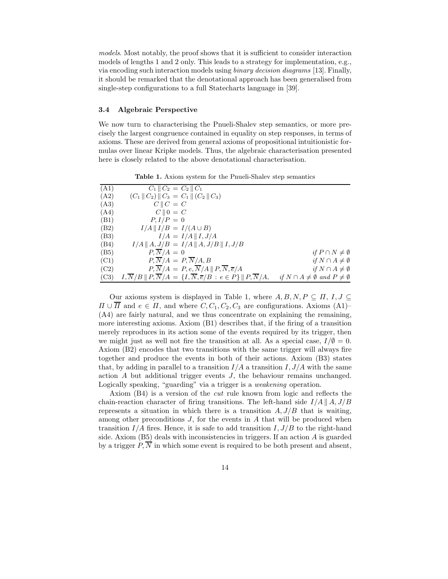models. Most notably, the proof shows that it is sufficient to consider interaction models of lengths 1 and 2 only. This leads to a strategy for implementation, e.g., via encoding such interaction models using binary decision diagrams [13]. Finally, it should be remarked that the denotational approach has been generalised from single-step configurations to a full Statecharts language in [39].

### 3.4 Algebraic Perspective

We now turn to characterising the Pnueli-Shalev step semantics, or more precisely the largest congruence contained in equality on step responses, in terms of axioms. These are derived from general axioms of propositional intuitionistic formulas over linear Kripke models. Thus, the algebraic characterisation presented here is closely related to the above denotational characterisation.

Table 1. Axiom system for the Pnueli-Shalev step semantics

| (A1) | $C_1 \, \  C_2 = C_2 \, \  C_1$                                                                                              |                                                     |
|------|------------------------------------------------------------------------------------------------------------------------------|-----------------------------------------------------|
| (A2) | $(C_1 \  C_2) \  C_3 = C_1 \  (C_2 \  C_3)$                                                                                  |                                                     |
| (A3) | $C \parallel C = C$                                                                                                          |                                                     |
| (A4) | $C\parallel 0 = C$                                                                                                           |                                                     |
| (B1) | $P,I/P=0$                                                                                                                    |                                                     |
| (B2) | $I/A \, \ \, I/B = I/(A \cup B)$                                                                                             |                                                     |
| (B3) | $I/A = I/A    I,J/A$                                                                                                         |                                                     |
| (B4) | $I/A \parallel A, J/B = I/A \parallel A, J/B \parallel I, J/B$                                                               |                                                     |
| (B5) | $P, \overline{N}/A = 0$                                                                                                      | if $P \cap N \neq \emptyset$                        |
| (C1) | $P, \overline{N}/A = P, \overline{N}/A, B$                                                                                   | if $N \cap A \neq \emptyset$                        |
| (C2) | $P, \overline{N}/A = P, e, \overline{N}/A \parallel P, \overline{N}, \overline{e}/A$                                         | if $N \cap A \neq \emptyset$                        |
| (C3) | $I, \overline{N}/B \parallel P, \overline{N}/A = \{I, \overline{N}, \overline{e}/B : e \in P\} \parallel P, \overline{N}/A,$ | if $N \cap A \neq \emptyset$ and $P \neq \emptyset$ |

Our axioms system is displayed in Table 1, where  $A, B, N, P \subseteq \Pi, I, J \subseteq$  $\Pi \cup \overline{\Pi}$  and  $e \in \Pi$ , and where  $C, C_1, C_2, C_3$  are configurations. Axioms (A1)– (A4) are fairly natural, and we thus concentrate on explaining the remaining, more interesting axioms. Axiom (B1) describes that, if the firing of a transition merely reproduces in its action some of the events required by its trigger, then we might just as well not fire the transition at all. As a special case,  $I/\emptyset = 0$ . Axiom (B2) encodes that two transitions with the same trigger will always fire together and produce the events in both of their actions. Axiom (B3) states that, by adding in parallel to a transition  $I/A$  a transition I,  $J/A$  with the same action A but additional trigger events J, the behaviour remains unchanged. Logically speaking, "guarding" via a trigger is a weakening operation.

Axiom (B4) is a version of the cut rule known from logic and reflects the chain-reaction character of firing transitions. The left-hand side  $I/A \parallel A$ ,  $J/B$ represents a situation in which there is a transition  $A, J/B$  that is waiting, among other preconditions  $J$ , for the events in  $A$  that will be produced when transition  $I/A$  fires. Hence, it is safe to add transition I,  $J/B$  to the right-hand side. Axiom  $(B5)$  deals with inconsistencies in triggers. If an action  $A$  is guarded by a trigger  $P, \overline{N}$  in which some event is required to be both present and absent,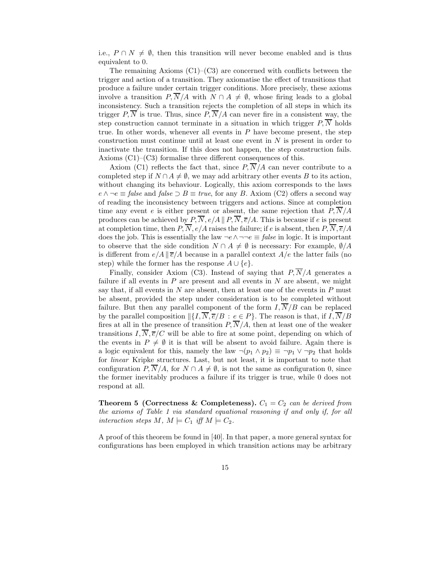i.e.,  $P \cap N \neq \emptyset$ , then this transition will never become enabled and is thus equivalent to 0.

The remaining Axioms  $(C1)$ – $(C3)$  are concerned with conflicts between the trigger and action of a transition. They axiomatise the effect of transitions that produce a failure under certain trigger conditions. More precisely, these axioms involve a transition  $P, \overline{N}/A$  with  $N \cap A \neq \emptyset$ , whose firing leads to a global inconsistency. Such a transition rejects the completion of all steps in which its trigger  $P, \overline{N}$  is true. Thus, since  $P, \overline{N}/A$  can never fire in a consistent way, the step construction cannot terminate in a situation in which trigger  $P, \overline{N}$  holds true. In other words, whenever all events in  $P$  have become present, the step construction must continue until at least one event in  $N$  is present in order to inactivate the transition. If this does not happen, the step construction fails. Axioms (C1)–(C3) formalise three different consequences of this.

Axiom (C1) reflects the fact that, since  $P, \overline{N}/A$  can never contribute to a completed step if  $N \cap A \neq \emptyset$ , we may add arbitrary other events B to its action, without changing its behaviour. Logically, this axiom corresponds to the laws  $e \wedge \neg e \equiv \text{false}$  and  $\text{false} \supset B \equiv \text{true}$ , for any B. Axiom (C2) offers a second way of reading the inconsistency between triggers and actions. Since at completion time any event e is either present or absent, the same rejection that  $P, \overline{N}/A$ produces can be achieved by  $P, \overline{N}, e/A \parallel P, \overline{N}, \overline{e}/A$ . This is because if e is present at completion time, then  $P, \overline{N}, e/A$  raises the failure; if e is absent, then  $P, \overline{N}, \overline{e}/A$ does the job. This is essentially the law  $\neg e \land \neg \neg e \equiv false$  in logic. It is important to observe that the side condition  $N \cap A \neq \emptyset$  is necessary: For example,  $\emptyset/A$ is different from  $e/A \|\overline{e}/A\|$  because in a parallel context  $A/e$  the latter fails (no step) while the former has the response  $A \cup \{e\}.$ 

Finally, consider Axiom (C3). Instead of saying that  $P, \overline{N}/A$  generates a failure if all events in  $P$  are present and all events in  $N$  are absent, we might say that, if all events in  $N$  are absent, then at least one of the events in  $P$  must be absent, provided the step under consideration is to be completed without failure. But then any parallel component of the form  $I, \overline{N}/B$  can be replaced by the parallel composition  $\left|\left\{I, \overline{N}, \overline{e}/B : e \in P\right\}\right|$ . The reason is that, if  $I, \overline{N}/B$ fires at all in the presence of transition  $P, \overline{N}/A$ , then at least one of the weaker transitions  $I, \overline{N}, \overline{e}/C$  will be able to fire at some point, depending on which of the events in  $P \neq \emptyset$  it is that will be absent to avoid failure. Again there is a logic equivalent for this, namely the law  $\neg (p_1 \land p_2) \equiv \neg p_1 \lor \neg p_2$  that holds for linear Kripke structures. Last, but not least, it is important to note that configuration  $P, \overline{N}/A$ , for  $N \cap A \neq \emptyset$ , is not the same as configuration 0, since the former inevitably produces a failure if its trigger is true, while 0 does not respond at all.

**Theorem 5 (Correctness & Completeness).**  $C_1 = C_2$  can be derived from the axioms of Table 1 via standard equational reasoning if and only if, for all interaction steps  $M, M \models C_1$  iff  $M \models C_2$ .

A proof of this theorem be found in [40]. In that paper, a more general syntax for configurations has been employed in which transition actions may be arbitrary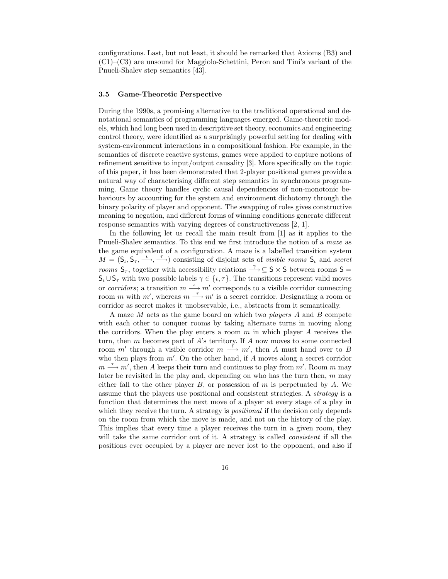configurations. Last, but not least, it should be remarked that Axioms (B3) and  $(C1)$ – $(C3)$  are unsound for Maggiolo-Schettini, Peron and Tini's variant of the Pnueli-Shalev step semantics [43].

#### 3.5 Game-Theoretic Perspective

During the 1990s, a promising alternative to the traditional operational and denotational semantics of programming languages emerged. Game-theoretic models, which had long been used in descriptive set theory, economics and engineering control theory, were identified as a surprisingly powerful setting for dealing with system-environment interactions in a compositional fashion. For example, in the semantics of discrete reactive systems, games were applied to capture notions of refinement sensitive to input/output causality [3]. More specifically on the topic of this paper, it has been demonstrated that 2-player positional games provide a natural way of characterising different step semantics in synchronous programming. Game theory handles cyclic causal dependencies of non-monotonic behaviours by accounting for the system and environment dichotomy through the binary polarity of player and opponent. The swapping of roles gives constructive meaning to negation, and different forms of winning conditions generate different response semantics with varying degrees of constructiveness [2, 1].

In the following let us recall the main result from [1] as it applies to the Pnueli-Shalev semantics. To this end we first introduce the notion of a maze as the game equivalent of a configuration. A maze is a labelled transition system  $M = (\mathsf{S}_\iota, \mathsf{S}_\tau, \xrightarrow{\iota} , \xrightarrow{\tau})$  consisting of disjoint sets of *visible rooms*  $\mathsf{S}_\iota$  and *secret* rooms  $S_{\tau}$ , together with accessibility relations  $\stackrel{\gamma}{\longrightarrow} \subseteq S \times S$  between rooms  $S =$  $\mathsf{S}_\iota \cup \mathsf{S}_\tau$  with two possible labels  $\gamma \in \{\iota, \tau\}$ . The transitions represent valid moves or *corridors*; a transition  $m \stackrel{\iota}{\longrightarrow} m'$  corresponds to a visible corridor connecting room m with m', whereas  $m \stackrel{\tau}{\longrightarrow} m'$  is a secret corridor. Designating a room or corridor as secret makes it unobservable, i.e., abstracts from it semantically.

A maze M acts as the game board on which two players A and B compete with each other to conquer rooms by taking alternate turns in moving along the corridors. When the play enters a room  $m$  in which player  $A$  receives the turn, then  $m$  becomes part of  $A$ 's territory. If  $A$  now moves to some connected room m' through a visible corridor  $m \stackrel{\tilde{\iota}}{\longrightarrow} m'$ , then A must hand over to B who then plays from  $m'$ . On the other hand, if A moves along a secret corridor  $m \stackrel{\tau}{\longrightarrow} m'$ , then A keeps their turn and continues to play from m'. Room m may later be revisited in the play and, depending on who has the turn then,  $m$  may either fall to the other player  $B$ , or possession of m is perpetuated by  $A$ . We assume that the players use positional and consistent strategies. A strategy is a function that determines the next move of a player at every stage of a play in which they receive the turn. A strategy is *positional* if the decision only depends on the room from which the move is made, and not on the history of the play. This implies that every time a player receives the turn in a given room, they will take the same corridor out of it. A strategy is called *consistent* if all the positions ever occupied by a player are never lost to the opponent, and also if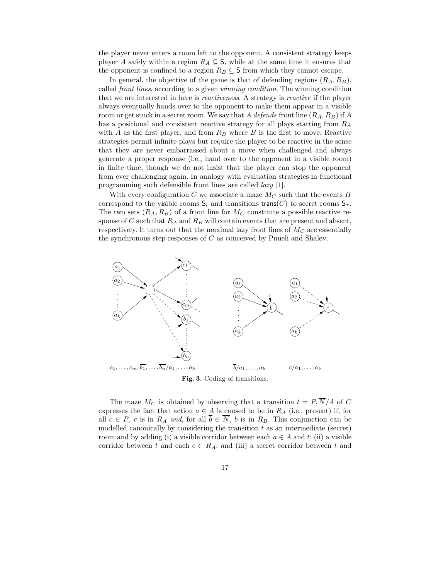the player never enters a room left to the opponent. A consistent strategy keeps player A safely within a region  $R_A \subseteq S$ , while at the same time it ensures that the opponent is confined to a region  $R_B \subseteq S$  from which they cannot escape.

In general, the objective of the game is that of defending regions  $(R_A, R_B)$ , called front lines, according to a given winning condition. The winning condition that we are interested in here is reactiveness. A strategy is reactive if the player always eventually hands over to the opponent to make them appear in a visible room or get stuck in a secret room. We say that A defends front line  $(R_A, R_B)$  if A has a positional and consistent reactive strategy for all plays starting from  $R_A$ with A as the first player, and from  $R_B$  where B is the first to move. Reactive strategies permit infinite plays but require the player to be reactive in the sense that they are never embarrassed about a move when challenged and always generate a proper response (i.e., hand over to the opponent in a visible room) in finite time, though we do not insist that the player can stop the opponent from ever challenging again. In analogy with evaluation strategies in functional programming such defensible front lines are called lazy [1].

With every configuration C we associate a maze  $M_C$  such that the events  $\Pi$ correspond to the visible rooms  $S_l$  and transitions trans(C) to secret rooms  $S_{\tau}$ . The two sets  $(R_A, R_B)$  of a front line for  $M_C$  constitute a possible reactive response of C such that  $R_A$  and  $R_B$  will contain events that are present and absent, respectively. It turns out that the maximal lazy front lines of  $M_C$  are essentially the synchronous step responses of  $C$  as conceived by Pnueli and Shalev.



The maze  $M_C$  is obtained by observing that a transition  $t = P, \overline{N}/A$  of C expresses the fact that action  $a \in A$  is caused to be in  $R_A$  (i.e., present) if, for all  $c \in P$ , c is in  $R_A$  and, for all  $\overline{b} \in \overline{N}$ , b is in  $R_B$ . This conjunction can be modelled canonically by considering the transition  $t$  as an intermediate (secret) room and by adding (i) a visible corridor between each  $a \in A$  and t; (ii) a visible corridor between t and each  $c \in R_A$ ; and (iii) a secret corridor between t and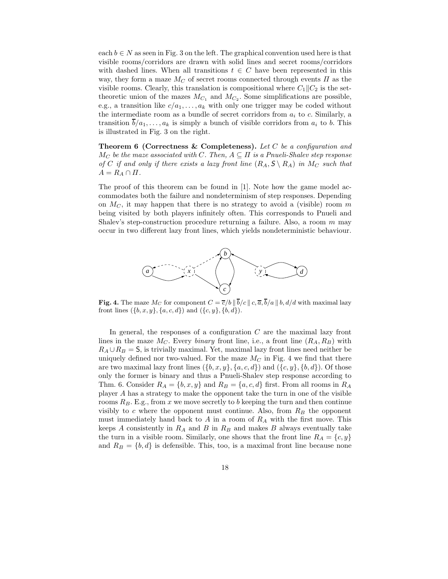each  $b \in N$  as seen in Fig. 3 on the left. The graphical convention used here is that visible rooms/corridors are drawn with solid lines and secret rooms/corridors with dashed lines. When all transitions  $t \in C$  have been represented in this way, they form a maze  $M_C$  of secret rooms connected through events  $\Pi$  as the visible rooms. Clearly, this translation is compositional where  $C_1||C_2$  is the settheoretic union of the mazes  $M_{C_1}$  and  $M_{C_2}$ . Some simplifications are possible, e.g., a transition like  $c/a_1, \ldots, a_k$  with only one trigger may be coded without the intermediate room as a bundle of secret corridors from  $a_i$  to c. Similarly, a transition  $b/a_1, \ldots, a_k$  is simply a bunch of visible corridors from  $a_i$  to b. This is illustrated in Fig. 3 on the right.

**Theorem 6 (Correctness & Completeness).** Let C be a configuration and  $M_C$  be the maze associated with C. Then,  $A \subseteq \Pi$  is a Pnueli-Shalev step response of C if and only if there exists a lazy front line  $(R_A, S \setminus R_A)$  in  $M_C$  such that  $A = R_A \cap \Pi$ .

The proof of this theorem can be found in [1]. Note how the game model accommodates both the failure and nondeterminism of step responses. Depending on  $M_C$ , it may happen that there is no strategy to avoid a (visible) room m being visited by both players infinitely often. This corresponds to Pnueli and Shalev's step-construction procedure returning a failure. Also, a room  $m$  may occur in two different lazy front lines, which yields nondeterministic behaviour.



Fig. 4. The maze  $M_C$  for component  $C = \overline{c}/b \|\overline{b}/c \| c \overline{a}, \overline{b}/a \| b, d/d$  with maximal lazy front lines  $({b, x, y}, {a, c, d})$  and  $({c, y}, {b, d})$ .

In general, the responses of a configuration  $C$  are the maximal lazy front lines in the maze  $M_C$ . Every binary front line, i.e., a front line  $(R_A, R_B)$  with  $R_A \cup R_B =$  S, is trivially maximal. Yet, maximal lazy front lines need neither be uniquely defined nor two-valued. For the maze  $M_C$  in Fig. 4 we find that there are two maximal lazy front lines  $({b, x, y}, {a, c, d})$  and  $({c, y}, {b, d})$ . Of those only the former is binary and thus a Pnueli-Shalev step response according to Thm. 6. Consider  $R_A = \{b, x, y\}$  and  $R_B = \{a, c, d\}$  first. From all rooms in  $R_A$ player A has a strategy to make the opponent take the turn in one of the visible rooms  $R_B$ . E.g., from x we move secretly to b keeping the turn and then continue visibly to c where the opponent must continue. Also, from  $R_B$  the opponent must immediately hand back to  $A$  in a room of  $R_A$  with the first move. This keeps A consistently in  $R_A$  and B in  $R_B$  and makes B always eventually take the turn in a visible room. Similarly, one shows that the front line  $R_A = \{c, y\}$ and  $R_B = \{b, d\}$  is defensible. This, too, is a maximal front line because none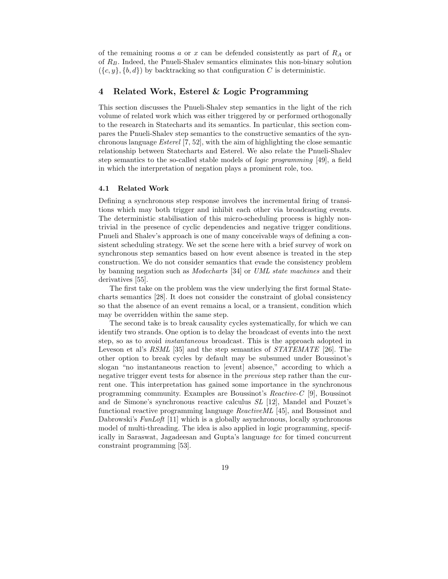of the remaining rooms a or x can be defended consistently as part of  $R_A$  or of  $R_B$ . Indeed, the Pnueli-Shalev semantics eliminates this non-binary solution  $({c, y}, {b, d})$  by backtracking so that configuration C is deterministic.

# 4 Related Work, Esterel & Logic Programming

This section discusses the Pnueli-Shalev step semantics in the light of the rich volume of related work which was either triggered by or performed orthogonally to the research in Statecharts and its semantics. In particular, this section compares the Pnueli-Shalev step semantics to the constructive semantics of the synchronous language Esterel [7, 52], with the aim of highlighting the close semantic relationship between Statecharts and Esterel. We also relate the Pnueli-Shalev step semantics to the so-called stable models of logic programming [49], a field in which the interpretation of negation plays a prominent role, too.

## 4.1 Related Work

Defining a synchronous step response involves the incremental firing of transitions which may both trigger and inhibit each other via broadcasting events. The deterministic stabilisation of this micro-scheduling process is highly nontrivial in the presence of cyclic dependencies and negative trigger conditions. Pnueli and Shalev's approach is one of many conceivable ways of defining a consistent scheduling strategy. We set the scene here with a brief survey of work on synchronous step semantics based on how event absence is treated in the step construction. We do not consider semantics that evade the consistency problem by banning negation such as Modecharts [34] or UML state machines and their derivatives [55].

The first take on the problem was the view underlying the first formal Statecharts semantics [28]. It does not consider the constraint of global consistency so that the absence of an event remains a local, or a transient, condition which may be overridden within the same step.

The second take is to break causality cycles systematically, for which we can identify two strands. One option is to delay the broadcast of events into the next step, so as to avoid instantaneous broadcast. This is the approach adopted in Leveson et al's RSML [35] and the step semantics of STATEMATE [26]. The other option to break cycles by default may be subsumed under Boussinot's slogan "no instantaneous reaction to [event] absence," according to which a negative trigger event tests for absence in the *previous* step rather than the current one. This interpretation has gained some importance in the synchronous programming community. Examples are Boussinot's Reactive-C [9], Boussinot and de Simone's synchronous reactive calculus SL [12], Mandel and Pouzet's functional reactive programming language ReactiveML [45], and Boussinot and Dabrowski's FunLoft [11] which is a globally asynchronous, locally synchronous model of multi-threading. The idea is also applied in logic programming, specifically in Saraswat, Jagadeesan and Gupta's language tcc for timed concurrent constraint programming [53].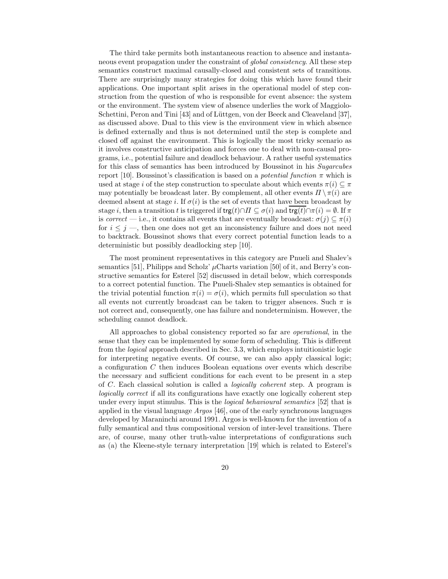The third take permits both instantaneous reaction to absence and instantaneous event propagation under the constraint of global consistency. All these step semantics construct maximal causally-closed and consistent sets of transitions. There are surprisingly many strategies for doing this which have found their applications. One important split arises in the operational model of step construction from the question of who is responsible for event absence: the system or the environment. The system view of absence underlies the work of Maggiolo-Schettini, Peron and Tini [43] and of Lüttgen, von der Beeck and Cleaveland [37], as discussed above. Dual to this view is the environment view in which absence is defined externally and thus is not determined until the step is complete and closed off against the environment. This is logically the most tricky scenario as it involves constructive anticipation and forces one to deal with non-causal programs, i.e., potential failure and deadlock behaviour. A rather useful systematics for this class of semantics has been introduced by Boussinot in his Sugarcubes report [10]. Boussinot's classification is based on a *potential function*  $\pi$  which is used at stage i of the step construction to speculate about which events  $\pi(i) \subseteq \pi$ may potentially be broadcast later. By complement, all other events  $\Pi \setminus \pi(i)$  are deemed absent at stage i. If  $\sigma(i)$  is the set of events that have been broadcast by stage i, then a transition t is triggered if  $\text{tr}g(t)\cap\Pi\subseteq\sigma(i)$  and  $\text{tr}g(t)\cap\pi(i)=\emptyset$ . If  $\pi$ is correct — i.e., it contains all events that are eventually broadcast:  $\sigma(i) \subset \pi(i)$ for  $i \leq j$ , then one does not get an inconsistency failure and does not need to backtrack. Boussinot shows that every correct potential function leads to a deterministic but possibly deadlocking step [10].

The most prominent representatives in this category are Pnueli and Shalev's semantics [51], Philipps and Scholz'  $\mu$ Charts variation [50] of it, and Berry's constructive semantics for Esterel [52] discussed in detail below, which corresponds to a correct potential function. The Pnueli-Shalev step semantics is obtained for the trivial potential function  $\pi(i) = \sigma(i)$ , which permits full speculation so that all events not currently broadcast can be taken to trigger absences. Such  $\pi$  is not correct and, consequently, one has failure and nondeterminism. However, the scheduling cannot deadlock.

All approaches to global consistency reported so far are operational, in the sense that they can be implemented by some form of scheduling. This is different from the logical approach described in Sec. 3.3, which employs intuitionistic logic for interpreting negative events. Of course, we can also apply classical logic; a configuration C then induces Boolean equations over events which describe the necessary and sufficient conditions for each event to be present in a step of C. Each classical solution is called a logically coherent step. A program is logically correct if all its configurations have exactly one logically coherent step under every input stimulus. This is the logical behavioural semantics [52] that is applied in the visual language  $A\eta\omega s$  [46], one of the early synchronous languages developed by Maraninchi around 1991. Argos is well-known for the invention of a fully semantical and thus compositional version of inter-level transitions. There are, of course, many other truth-value interpretations of configurations such as (a) the Kleene-style ternary interpretation [19] which is related to Esterel's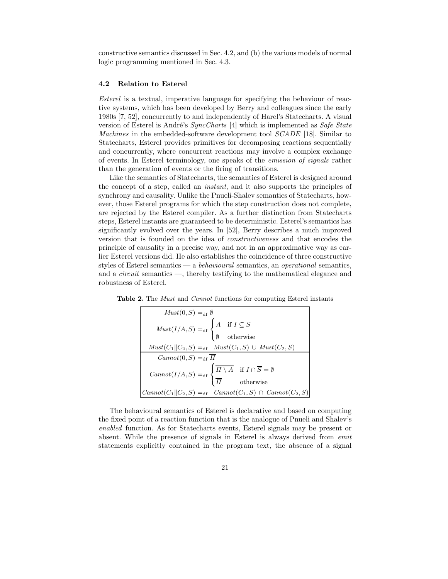constructive semantics discussed in Sec. 4.2, and (b) the various models of normal logic programming mentioned in Sec. 4.3.

#### 4.2 Relation to Esterel

Esterel is a textual, imperative language for specifying the behaviour of reactive systems, which has been developed by Berry and colleagues since the early 1980s [7, 52], concurrently to and independently of Harel's Statecharts. A visual version of Esterel is André's  $SyncCharts$  [4] which is implemented as Safe State Machines in the embedded-software development tool SCADE [18]. Similar to Statecharts, Esterel provides primitives for decomposing reactions sequentially and concurrently, where concurrent reactions may involve a complex exchange of events. In Esterel terminology, one speaks of the emission of signals rather than the generation of events or the firing of transitions.

Like the semantics of Statecharts, the semantics of Esterel is designed around the concept of a step, called an instant, and it also supports the principles of synchrony and causality. Unlike the Pnueli-Shalev semantics of Statecharts, however, those Esterel programs for which the step construction does not complete, are rejected by the Esterel compiler. As a further distinction from Statecharts steps, Esterel instants are guaranteed to be deterministic. Esterel's semantics has significantly evolved over the years. In [52], Berry describes a much improved version that is founded on the idea of constructiveness and that encodes the principle of causality in a precise way, and not in an approximative way as earlier Esterel versions did. He also establishes the coincidence of three constructive styles of Esterel semantics — a behavioural semantics, an operational semantics, and a circuit semantics —, thereby testifying to the mathematical elegance and robustness of Esterel.

| $Must(0, S) =_{df} \emptyset$                                                                                                                                                |  |  |
|------------------------------------------------------------------------------------------------------------------------------------------------------------------------------|--|--|
| $Must(I/A, S) =df \begin{cases} A & \text{if } I \subseteq S \\ \emptyset & \text{otherwise} \end{cases}$                                                                    |  |  |
|                                                                                                                                                                              |  |  |
| $Must(C_1  C_2, S) =_{df} \quad Must(C_1, S) \cup Must(C_2, S)$                                                                                                              |  |  |
| $Cannot(0, S) =_{df} \overline{H}$                                                                                                                                           |  |  |
| $\text{Cannot}(I/A, S) =_{\text{df}} \begin{cases} \overline{\Pi \setminus A} & \text{if } I \cap \overline{S} = \emptyset \\ \overline{\Pi} & \text{otherwise} \end{cases}$ |  |  |
|                                                                                                                                                                              |  |  |
| $\text{Cannot}(C_1 \  C_2, S) =_{\text{df}} \text{Cannot}(C_1, S) \cap \text{Cannot}(C_2, S)$                                                                                |  |  |

Table 2. The *Must* and *Cannot* functions for computing Esterel instants

The behavioural semantics of Esterel is declarative and based on computing the fixed point of a reaction function that is the analogue of Pnueli and Shalev's enabled function. As for Statecharts events, Esterel signals may be present or absent. While the presence of signals in Esterel is always derived from emit statements explicitly contained in the program text, the absence of a signal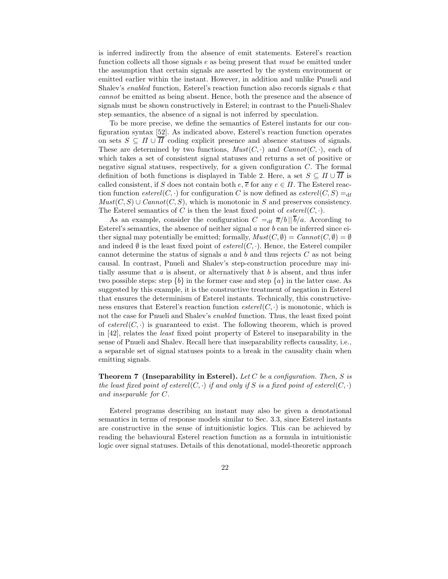is inferred indirectly from the absence of emit statements. Esterel's reaction function collects all those signals e as being present that must be emitted under the assumption that certain signals are asserted by the system environment or emitted earlier within the instant. However, in addition and unlike Pnueli and Shalev's enabled function, Esterel's reaction function also records signals e that cannot be emitted as being absent. Hence, both the presence and the absence of signals must be shown constructively in Esterel; in contrast to the Pnueli-Shalev step semantics, the absence of a signal is not inferred by speculation.

To be more precise, we define the semantics of Esterel instants for our configuration syntax [52]. As indicated above, Esterel's reaction function operates on sets  $S \subseteq \Pi \cup \overline{\Pi}$  coding explicit presence and absence statuses of signals. These are determined by two functions,  $Must(C, \cdot)$  and  $Cannot(C, \cdot)$ , each of which takes a set of consistent signal statuses and returns a set of positive or negative signal statuses, respectively, for a given configuration C. The formal definition of both functions is displayed in Table 2. Here, a set  $S \subseteq \Pi \cup \overline{\Pi}$  is called consistent, if S does not contain both  $e, \overline{e}$  for any  $e \in \Pi$ . The Esterel reaction function  $\text{csterel}(C, \cdot)$  for configuration C is now defined as  $\text{csterel}(C, S) =_{df}$  $Must(C, S) \cup \text{Cannot}(C, S)$ , which is monotonic in S and preserves consistency. The Esterel semantics of C is then the least fixed point of  $\mathit{esterel}(C, \cdot)$ .

As an example, consider the configuration  $C =_{df} \overline{a}/b || \overline{b}/a$ . According to Esterel's semantics, the absence of neither signal  $a$  nor  $b$  can be inferred since either signal may potentially be emitted; formally,  $Must(C, \emptyset) = Cannot(C, \emptyset) = \emptyset$ and indeed  $\emptyset$  is the least fixed point of esterel(C, .). Hence, the Esterel compiler cannot determine the status of signals a and b and thus rejects  $C$  as not being causal. In contrast, Pnueli and Shalev's step-construction procedure may initially assume that  $a$  is absent, or alternatively that  $b$  is absent, and thus infer two possible steps: step  $\{b\}$  in the former case and step  $\{a\}$  in the latter case. As suggested by this example, it is the constructive treatment of negation in Esterel that ensures the determinism of Esterel instants. Technically, this constructiveness ensures that Esterel's reaction function  $\text{esterel}(C, \cdot)$  is monotonic, which is not the case for Pnueli and Shalev's enabled function. Thus, the least fixed point of  $\text{csterel}(C, \cdot)$  is guaranteed to exist. The following theorem, which is proved in [42], relates the least fixed point property of Esterel to inseparability in the sense of Pnueli and Shalev. Recall here that inseparability reflects causality, i.e., a separable set of signal statuses points to a break in the causality chain when emitting signals.

**Theorem 7 (Inseparability in Esterel).** Let C be a configuration. Then, S is the least fixed point of esterel $(C, \cdot)$  if and only if S is a fixed point of esterel $(C, \cdot)$ and inseparable for C.

Esterel programs describing an instant may also be given a denotational semantics in terms of response models similar to Sec. 3.3, since Esterel instants are constructive in the sense of intuitionistic logics. This can be achieved by reading the behavioural Esterel reaction function as a formula in intuitionistic logic over signal statuses. Details of this denotational, model-theoretic approach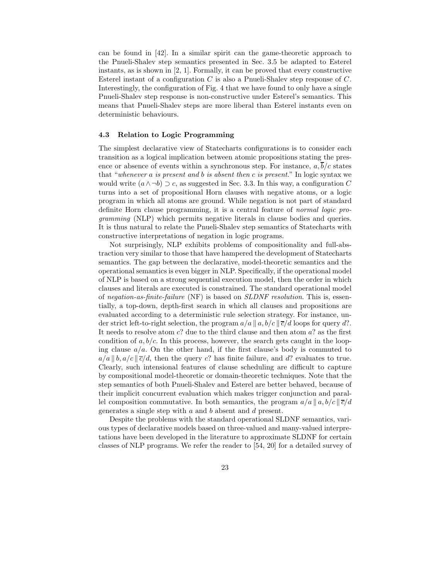can be found in [42]. In a similar spirit can the game-theoretic approach to the Pnueli-Shalev step semantics presented in Sec. 3.5 be adapted to Esterel instants, as is shown in [2, 1]. Formally, it can be proved that every constructive Esterel instant of a configuration  $C$  is also a Pnueli-Shalev step response of  $C$ . Interestingly, the configuration of Fig. 4 that we have found to only have a single Pnueli-Shalev step response is non-constructive under Esterel's semantics. This means that Pnueli-Shalev steps are more liberal than Esterel instants even on deterministic behaviours.

# 4.3 Relation to Logic Programming

The simplest declarative view of Statecharts configurations is to consider each transition as a logical implication between atomic propositions stating the presence or absence of events within a synchronous step. For instance,  $a, \overline{b}/c$  states that "whenever a is present and b is absent then c is present." In logic syntax we would write  $(a \wedge \neg b) \supset c$ , as suggested in Sec. 3.3. In this way, a configuration C turns into a set of propositional Horn clauses with negative atoms, or a logic program in which all atoms are ground. While negation is not part of standard definite Horn clause programming, it is a central feature of normal logic programming (NLP) which permits negative literals in clause bodies and queries. It is thus natural to relate the Pnueli-Shalev step semantics of Statecharts with constructive interpretations of negation in logic programs.

Not surprisingly, NLP exhibits problems of compositionality and full-abstraction very similar to those that have hampered the development of Statecharts semantics. The gap between the declarative, model-theoretic semantics and the operational semantics is even bigger in NLP. Specifically, if the operational model of NLP is based on a strong sequential execution model, then the order in which clauses and literals are executed is constrained. The standard operational model of negation-as-finite-failure (NF) is based on SLDNF resolution. This is, essentially, a top-down, depth-first search in which all clauses and propositions are evaluated according to a deterministic rule selection strategy. For instance, under strict left-to-right selection, the program  $a/a \parallel a, b/c \parallel \overline{c}/d$  loops for query d?. It needs to resolve atom  $c$ ? due to the third clause and then atom  $a$ ? as the first condition of  $a, b/c$ . In this process, however, the search gets caught in the looping clause  $a/a$ . On the other hand, if the first clause's body is commuted to  $a/a \parallel b, a/c \parallel \overline{c}/d$ , then the query c? has finite failure, and d? evaluates to true. Clearly, such intensional features of clause scheduling are difficult to capture by compositional model-theoretic or domain-theoretic techniques. Note that the step semantics of both Pnueli-Shalev and Esterel are better behaved, because of their implicit concurrent evaluation which makes trigger conjunction and parallel composition commutative. In both semantics, the program  $a/a \parallel a, b/c \parallel \overline{c}/d$ generates a single step with  $a$  and  $b$  absent and  $d$  present.

Despite the problems with the standard operational SLDNF semantics, various types of declarative models based on three-valued and many-valued interpretations have been developed in the literature to approximate SLDNF for certain classes of NLP programs. We refer the reader to [54, 20] for a detailed survey of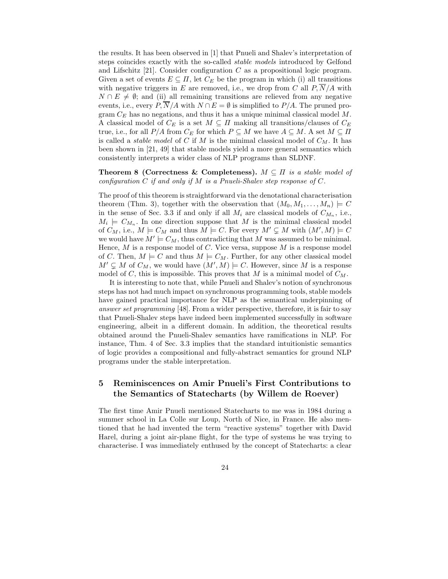the results. It has been observed in [1] that Pnueli and Shalev's interpretation of steps coincides exactly with the so-called stable models introduced by Gelfond and Lifschitz  $[21]$ . Consider configuration C as a propositional logic program. Given a set of events  $E \subseteq \Pi$ , let  $C_E$  be the program in which (i) all transitions with negative triggers in E are removed, i.e., we drop from C all  $P, \overline{N}/A$  with  $N \cap E \neq \emptyset$ ; and (ii) all remaining transitions are relieved from any negative events, i.e., every  $P, \overline{N}/A$  with  $N \cap E = \emptyset$  is simplified to  $P/A$ . The pruned program  $C_E$  has no negations, and thus it has a unique minimal classical model  $M$ . A classical model of  $C_E$  is a set  $M \subseteq \Pi$  making all transitions/clauses of  $C_E$ true, i.e., for all  $P/A$  from  $C_E$  for which  $P \subseteq M$  we have  $A \subseteq M$ . A set  $M \subseteq \Pi$ is called a *stable model* of C if M is the minimal classical model of  $C_M$ . It has been shown in [21, 49] that stable models yield a more general semantics which consistently interprets a wider class of NLP programs than SLDNF.

**Theorem 8 (Correctness & Completeness).**  $M \subseteq \Pi$  is a stable model of configuration  $C$  if and only if  $M$  is a Pnueli-Shalev step response of  $C$ .

The proof of this theorem is straightforward via the denotational characterisation theorem (Thm. 3), together with the observation that  $(M_0, M_1, \ldots, M_n) \models C$ in the sense of Sec. 3.3 if and only if all  $M_i$  are classical models of  $C_{M_n}$ , i.e.,  $M_i \models C_{M_n}$ . In one direction suppose that M is the minimal classical model of  $C_M$ , i.e.,  $M \models C_M$  and thus  $M \models C$ . For every  $M' \subsetneq M$  with  $(M', M) \models C$ we would have  $M' \models C_M$ , thus contradicting that M was assumed to be minimal. Hence,  $M$  is a response model of  $C$ . Vice versa, suppose  $M$  is a response model of C. Then,  $M \models C$  and thus  $M \models C_M$ . Further, for any other classical model  $M' \subsetneq M$  of  $C_M$ , we would have  $(M', M) \models C$ . However, since M is a response model of C, this is impossible. This proves that M is a minimal model of  $C_M$ .

It is interesting to note that, while Pnueli and Shalev's notion of synchronous steps has not had much impact on synchronous programming tools, stable models have gained practical importance for NLP as the semantical underpinning of answer set programming [48]. From a wider perspective, therefore, it is fair to say that Pnueli-Shalev steps have indeed been implemented successfully in software engineering, albeit in a different domain. In addition, the theoretical results obtained around the Pnueli-Shalev semantics have ramifications in NLP. For instance, Thm. 4 of Sec. 3.3 implies that the standard intuitionistic semantics of logic provides a compositional and fully-abstract semantics for ground NLP programs under the stable interpretation.

# 5 Reminiscences on Amir Pnueli's First Contributions to the Semantics of Statecharts (by Willem de Roever)

The first time Amir Pnueli mentioned Statecharts to me was in 1984 during a summer school in La Colle sur Loup, North of Nice, in France. He also mentioned that he had invented the term "reactive systems" together with David Harel, during a joint air-plane flight, for the type of systems he was trying to characterise. I was immediately enthused by the concept of Statecharts: a clear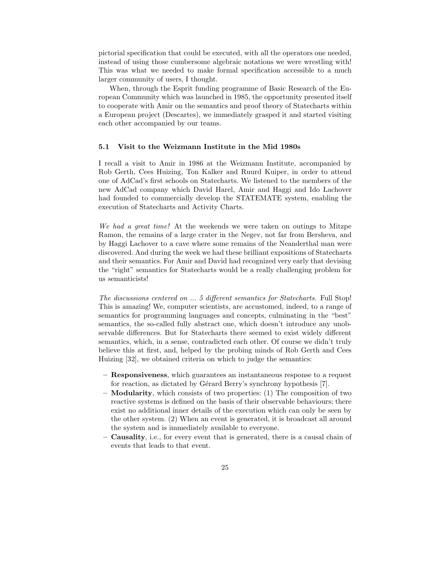pictorial specification that could be executed, with all the operators one needed, instead of using those cumbersome algebraic notations we were wrestling with! This was what we needed to make formal specification accessible to a much larger community of users, I thought.

When, through the Esprit funding programme of Basic Research of the European Community which was launched in 1985, the opportunity presented itself to cooperate with Amir on the semantics and proof theory of Statecharts within a European project (Descartes), we immediately grasped it and started visiting each other accompanied by our teams.

### 5.1 Visit to the Weizmann Institute in the Mid 1980s

I recall a visit to Amir in 1986 at the Weizmann Institute, accompanied by Rob Gerth, Cees Huizing, Ton Kalker and Ruurd Kuiper, in order to attend one of AdCad's first schools on Statecharts. We listened to the members of the new AdCad company which David Harel, Amir and Haggi and Ido Lachover had founded to commercially develop the STATEMATE system, enabling the execution of Statecharts and Activity Charts.

We had a great time! At the weekends we were taken on outings to Mitzpe Ramon, the remains of a large crater in the Negev, not far from Bersheva, and by Haggi Lachover to a cave where some remains of the Neanderthal man were discovered. And during the week we had these brilliant expositions of Statecharts and their semantics. For Amir and David had recognized very early that devising the "right" semantics for Statecharts would be a really challenging problem for us semanticists!

The discussions centered on ... 5 different semantics for Statecharts. Full Stop! This is amazing! We, computer scientists, are accustomed, indeed, to a range of semantics for programming languages and concepts, culminating in the "best" semantics, the so-called fully abstract one, which doesn't introduce any unobservable differences. But for Statecharts there seemed to exist widely different semantics, which, in a sense, contradicted each other. Of course we didn't truly believe this at first, and, helped by the probing minds of Rob Gerth and Cees Huizing [32], we obtained criteria on which to judge the semantics:

- Responsiveness, which guarantees an instantaneous response to a request for reaction, as dictated by Gérard Berry's synchrony hypothesis [7].
- Modularity, which consists of two properties: (1) The composition of two reactive systems is defined on the basis of their observable behaviours; there exist no additional inner details of the execution which can only be seen by the other system. (2) When an event is generated, it is broadcast all around the system and is immediately available to everyone.
- Causality, i.e., for every event that is generated, there is a causal chain of events that leads to that event.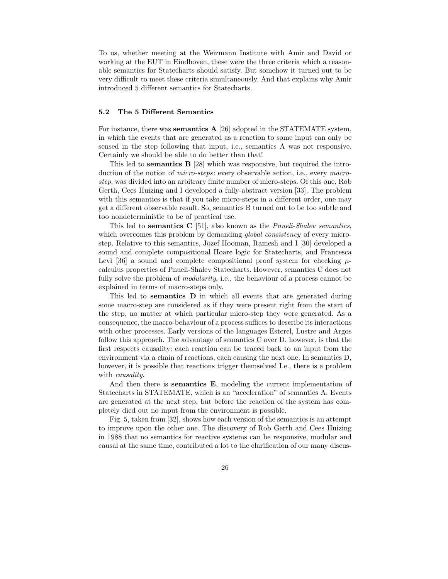To us, whether meeting at the Weizmann Institute with Amir and David or working at the EUT in Eindhoven, these were the three criteria which a reasonable semantics for Statecharts should satisfy. But somehow it turned out to be very difficult to meet these criteria simultaneously. And that explains why Amir introduced 5 different semantics for Statecharts.

# 5.2 The 5 Different Semantics

For instance, there was **semantics A** [26] adopted in the STATEMATE system, in which the events that are generated as a reaction to some input can only be sensed in the step following that input, i.e., semantics A was not responsive. Certainly we should be able to do better than that!

This led to semantics B [28] which was responsive, but required the introduction of the notion of *micro-steps*: every observable action, i.e., every *macro*step, was divided into an arbitrary finite number of micro-steps. Of this one, Rob Gerth, Cees Huizing and I developed a fully-abstract version [33]. The problem with this semantics is that if you take micro-steps in a different order, one may get a different observable result. So, semantics B turned out to be too subtle and too nondeterministic to be of practical use.

This led to semantics  $C$  [51], also known as the *Pnueli-Shalev semantics*, which overcomes this problem by demanding *global consistency* of every microstep. Relative to this semantics, Jozef Hooman, Ramesh and I [30] developed a sound and complete compositional Hoare logic for Statecharts, and Francesca Levi [36] a sound and complete compositional proof system for checking  $\mu$ calculus properties of Pnueli-Shalev Statecharts. However, semantics C does not fully solve the problem of *modularity*, i.e., the behaviour of a process cannot be explained in terms of macro-steps only.

This led to semantics D in which all events that are generated during some macro-step are considered as if they were present right from the start of the step, no matter at which particular micro-step they were generated. As a consequence, the macro-behaviour of a process suffices to describe its interactions with other processes. Early versions of the languages Esterel, Lustre and Argos follow this approach. The advantage of semantics C over D, however, is that the first respects causality: each reaction can be traced back to an input from the environment via a chain of reactions, each causing the next one. In semantics D, however, it is possible that reactions trigger themselves! I.e., there is a problem with *causality*.

And then there is **semantics** E, modeling the current implementation of Statecharts in STATEMATE, which is an "acceleration" of semantics A. Events are generated at the next step, but before the reaction of the system has completely died out no input from the environment is possible.

Fig. 5, taken from [32], shows how each version of the semantics is an attempt to improve upon the other one. The discovery of Rob Gerth and Cees Huizing in 1988 that no semantics for reactive systems can be responsive, modular and causal at the same time, contributed a lot to the clarification of our many discus-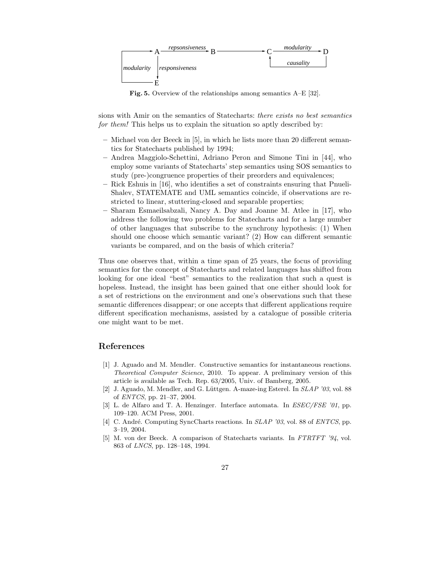

Fig. 5. Overview of the relationships among semantics A–E [32].

sions with Amir on the semantics of Statecharts: there exists no best semantics for them! This helps us to explain the situation so aptly described by:

- Michael von der Beeck in [5], in which he lists more than 20 different semantics for Statecharts published by 1994;
- Andrea Maggiolo-Schettini, Adriano Peron and Simone Tini in [44], who employ some variants of Statecharts' step semantics using SOS semantics to study (pre-)congruence properties of their preorders and equivalences;
- Rick Eshuis in [16], who identifies a set of constraints ensuring that Pnueli-Shalev, STATEMATE and UML semantics coincide, if observations are restricted to linear, stuttering-closed and separable properties;
- Sharam Esmaeilsabzali, Nancy A. Day and Joanne M. Atlee in [17], who address the following two problems for Statecharts and for a large number of other languages that subscribe to the synchrony hypothesis: (1) When should one choose which semantic variant? (2) How can different semantic variants be compared, and on the basis of which criteria?

Thus one observes that, within a time span of 25 years, the focus of providing semantics for the concept of Statecharts and related languages has shifted from looking for one ideal "best" semantics to the realization that such a quest is hopeless. Instead, the insight has been gained that one either should look for a set of restrictions on the environment and one's observations such that these semantic differences disappear; or one accepts that different applications require different specification mechanisms, assisted by a catalogue of possible criteria one might want to be met.

# References

- [1] J. Aguado and M. Mendler. Constructive semantics for instantaneous reactions. *Theoretical Computer Science*, 2010. To appear. A preliminary version of this article is available as Tech. Rep. 63/2005, Univ. of Bamberg, 2005.
- [2] J. Aguado, M. Mendler, and G. L¨uttgen. A-maze-ing Esterel. In *SLAP '03*, vol. 88 of *ENTCS*, pp. 21–37, 2004.
- [3] L. de Alfaro and T. A. Henzinger. Interface automata. In *ESEC/FSE '01*, pp. 109–120. ACM Press, 2001.
- [4] C. André. Computing SyncCharts reactions. In *SLAP '03*, vol. 88 of *ENTCS*, pp. 3–19, 2004.
- [5] M. von der Beeck. A comparison of Statecharts variants. In *FTRTFT '94*, vol. 863 of *LNCS*, pp. 128–148, 1994.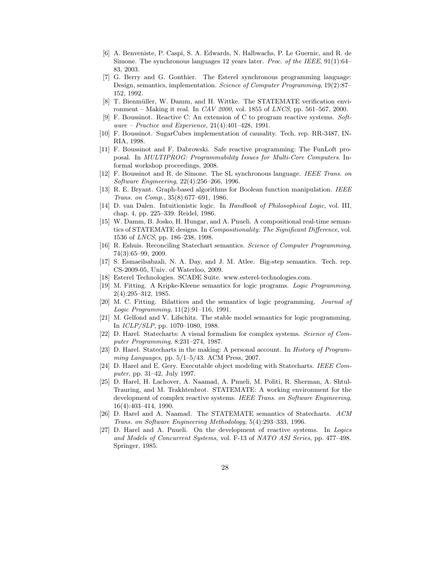- [6] A. Benveniste, P. Caspi, S. A. Edwards, N. Halbwachs, P. Le Guernic, and R. de Simone. The synchronous languages 12 years later. *Proc. of the IEEE*, 91(1):64– 83, 2003.
- [7] G. Berry and G. Gonthier. The Esterel synchronous programming language: Design, semantics, implementation. *Science of Computer Programming*, 19(2):87– 152, 1992.
- [8] T. Bienmüller, W. Damm, and H. Wittke. The STATEMATE verification environment – Making it real. In *CAV 2000*, vol. 1855 of *LNCS*, pp. 561–567, 2000.
- [9] F. Boussinot. Reactive C: An extension of C to program reactive systems. *Software – Practice and Experience*, 21(4):401–428, 1991.
- [10] F. Boussinot. SugarCubes implementation of causality. Tech. rep. RR-3487, IN-RIA, 1998.
- [11] F. Boussinot and F. Dabrowski. Safe reactive programming: The FunLoft proposal. In *MULTIPROG: Programmability Issues for Multi-Core Computers*. Informal workshop proceedings, 2008.
- [12] F. Boussinot and R. de Simone. The SL synchronous language. *IEEE Trans. on Software Engineering*, 22(4):256–266, 1996.
- [13] R. E. Bryant. Graph-based algorithms for Boolean function manipulation. *IEEE Trans. on Comp.*, 35(8):677–691, 1986.
- [14] D. van Dalen. Intuitionistic logic. In *Handbook of Philosophical Logic*, vol. III, chap. 4, pp. 225–339. Reidel, 1986.
- [15] W. Damm, B. Josko, H. Hungar, and A. Pnueli. A compositional real-time semantics of STATEMATE designs. In *Compositionality: The Significant Difference*, vol. 1536 of *LNCS*, pp. 186–238, 1998.
- [16] R. Eshuis. Reconciling Statechart semantics. *Science of Computer Programming*, 74(3):65–99, 2009.
- [17] S. Esmaeilsabzali, N. A. Day, and J. M. Atlee. Big-step semantics. Tech. rep. CS-2009-05, Univ. of Waterloo, 2009.
- [18] Esterel Technologies. SCADE Suite. www.esterel-technologies.com.
- [19] M. Fitting. A Kripke-Kleene semantics for logic programs. *Logic Programming*, 2(4):295–312, 1985.
- [20] M. C. Fitting. Bilattices and the semantics of logic programming. *Journal of Logic Programming*, 11(2):91–116, 1991.
- [21] M. Gelfond and V. Lifschitz. The stable model semantics for logic programming. In *ICLP/SLP*, pp. 1070–1080, 1988.
- [22] D. Harel. Statecharts: A visual formalism for complex systems. *Science of Computer Programming*, 8:231–274, 1987.
- [23] D. Harel. Statecharts in the making: A personal account. In *History of Programming Languages*, pp. 5/1–5/43. ACM Press, 2007.
- [24] D. Harel and E. Gery. Executable object modeling with Statecharts. *IEEE Computer*, pp. 31–42, July 1997.
- [25] D. Harel, H. Lachover, A. Naamad, A. Pnueli, M. Politi, R. Sherman, A. Shtul-Trauring, and M. Trakhtenbrot. STATEMATE: A working environment for the development of complex reactive systems. *IEEE Trans. on Software Engineering*, 16(4):403–414, 1990.
- [26] D. Harel and A. Naamad. The STATEMATE semantics of Statecharts. *ACM Trans. on Software Engineering Methodology*, 5(4):293–333, 1996.
- [27] D. Harel and A. Pnueli. On the development of reactive systems. In *Logics and Models of Concurrent Systems*, vol. F-13 of *NATO ASI Series*, pp. 477–498. Springer, 1985.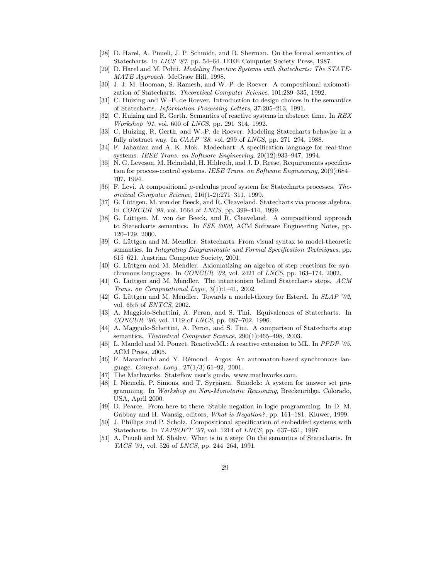- [28] D. Harel, A. Pnueli, J. P. Schmidt, and R. Sherman. On the formal semantics of Statecharts. In *LICS '87*, pp. 54–64. IEEE Computer Society Press, 1987.
- [29] D. Harel and M. Politi. *Modeling Reactive Systems with Statecharts: The STATE-MATE Approach*. McGraw Hill, 1998.
- [30] J. J. M. Hooman, S. Ramesh, and W.-P. de Roever. A compositional axiomatization of Statecharts. *Theoretical Computer Science*, 101:289–335, 1992.
- [31] C. Huizing and W.-P. de Roever. Introduction to design choices in the semantics of Statecharts. *Information Processing Letters*, 37:205–213, 1991.
- [32] C. Huizing and R. Gerth. Semantics of reactive systems in abstract time. In *REX Workshop '91*, vol. 600 of *LNCS*, pp. 291–314, 1992.
- [33] C. Huizing, R. Gerth, and W.-P. de Roever. Modeling Statecharts behavior in a fully abstract way. In *CAAP '88*, vol. 299 of *LNCS*, pp. 271–294, 1988.
- [34] F. Jahanian and A. K. Mok. Modechart: A specification language for real-time systems. *IEEE Trans. on Software Engineering*, 20(12):933–947, 1994.
- [35] N. G. Leveson, M. Heimdahl, H. Hildreth, and J. D. Reese. Requirements specification for process-control systems. *IEEE Trans. on Software Engineering*, 20(9):684– 707, 1994.
- [36] F. Levi. A compositional µ-calculus proof system for Statecharts processes. *Theoretical Computer Science*, 216(1-2):271–311, 1999.
- [37] G. Lüttgen, M. von der Beeck, and R. Cleaveland. Statecharts via process algebra. In *CONCUR '99*, vol. 1664 of *LNCS*, pp. 399–414, 1999.
- [38] G. Lüttgen, M. von der Beeck, and R. Cleaveland. A compositional approach to Statecharts semantics. In *FSE 2000*, ACM Software Engineering Notes, pp. 120–129, 2000.
- [39] G. Lüttgen and M. Mendler. Statecharts: From visual syntax to model-theoretic semantics. In *Integrating Diagrammatic and Formal Specification Techniques*, pp. 615–621. Austrian Computer Society, 2001.
- [40] G. Lüttgen and M. Mendler. Axiomatizing an algebra of step reactions for synchronous languages. In *CONCUR '02*, vol. 2421 of *LNCS*, pp. 163–174, 2002.
- [41] G. Lüttgen and M. Mendler. The intuitionism behind Statecharts steps.  $ACM$ *Trans. on Computational Logic*, 3(1):1–41, 2002.
- [42] G. Lüttgen and M. Mendler. Towards a model-theory for Esterel. In *SLAP '02*, vol. 65:5 of *ENTCS*, 2002.
- [43] A. Maggiolo-Schettini, A. Peron, and S. Tini. Equivalences of Statecharts. In *CONCUR '96*, vol. 1119 of *LNCS*, pp. 687–702, 1996.
- [44] A. Maggiolo-Schettini, A. Peron, and S. Tini. A comparison of Statecharts step semantics. *Theoretical Computer Science*, 290(1):465–498, 2003.
- [45] L. Mandel and M. Pouzet. ReactiveML: A reactive extension to ML. In *PPDP '05*. ACM Press, 2005.
- [46] F. Maraninchi and Y. Rémond. Argos: An automaton-based synchronous language. *Comput. Lang.*, 27(1/3):61–92, 2001.
- [47] The Mathworks. Stateflow user's guide. www.mathworks.com.
- [48] I. Niemelä, P. Simons, and T. Syrjänen. Smodels: A system for answer set programming. In *Workshop on Non-Monotonic Reasoning*, Breckenridge, Colorado, USA, April 2000.
- [49] D. Pearce. From here to there: Stable negation in logic programming. In D. M. Gabbay and H. Wansig, editors, *What is Negation?*, pp. 161–181. Kluwer, 1999.
- [50] J. Phillips and P. Scholz. Compositional specification of embedded systems with Statecharts. In *TAPSOFT '97*, vol. 1214 of *LNCS*, pp. 637–651, 1997.
- [51] A. Pnueli and M. Shalev. What is in a step: On the semantics of Statecharts. In *TACS '91*, vol. 526 of *LNCS*, pp. 244–264, 1991.